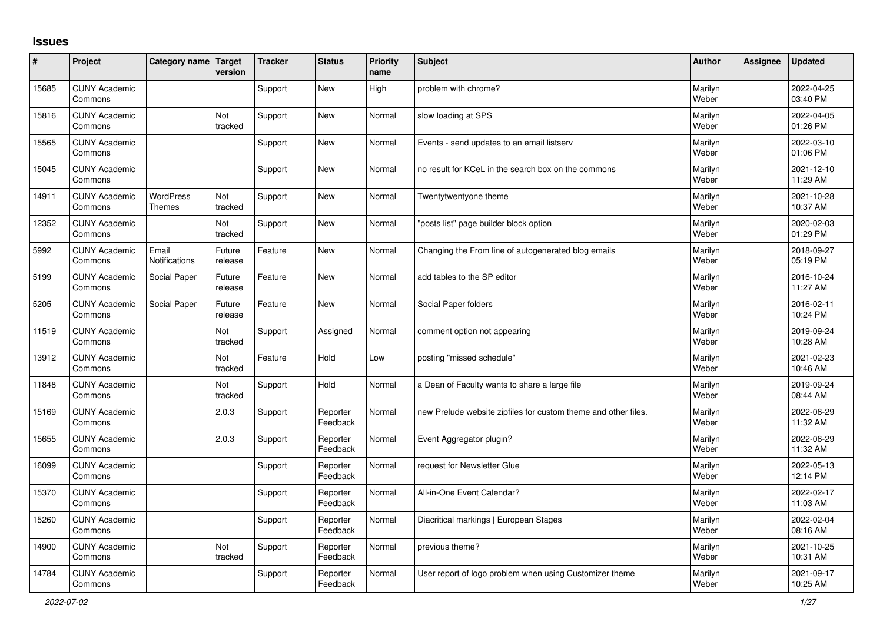## **Issues**

| #     | Project                         | Category name Target              | version           | <b>Tracker</b> | <b>Status</b>        | <b>Priority</b><br>name | <b>Subject</b>                                                 | <b>Author</b>    | Assignee | <b>Updated</b>         |
|-------|---------------------------------|-----------------------------------|-------------------|----------------|----------------------|-------------------------|----------------------------------------------------------------|------------------|----------|------------------------|
| 15685 | <b>CUNY Academic</b><br>Commons |                                   |                   | Support        | <b>New</b>           | High                    | problem with chrome?                                           | Marilyn<br>Weber |          | 2022-04-25<br>03:40 PM |
| 15816 | <b>CUNY Academic</b><br>Commons |                                   | Not<br>tracked    | Support        | <b>New</b>           | Normal                  | slow loading at SPS                                            | Marilyn<br>Weber |          | 2022-04-05<br>01:26 PM |
| 15565 | <b>CUNY Academic</b><br>Commons |                                   |                   | Support        | <b>New</b>           | Normal                  | Events - send updates to an email listserv                     | Marilyn<br>Weber |          | 2022-03-10<br>01:06 PM |
| 15045 | <b>CUNY Academic</b><br>Commons |                                   |                   | Support        | <b>New</b>           | Normal                  | no result for KCeL in the search box on the commons            | Marilyn<br>Weber |          | 2021-12-10<br>11:29 AM |
| 14911 | <b>CUNY Academic</b><br>Commons | <b>WordPress</b><br><b>Themes</b> | Not<br>tracked    | Support        | <b>New</b>           | Normal                  | Twentytwentyone theme                                          | Marilyn<br>Weber |          | 2021-10-28<br>10:37 AM |
| 12352 | <b>CUNY Academic</b><br>Commons |                                   | Not<br>tracked    | Support        | <b>New</b>           | Normal                  | 'posts list" page builder block option                         | Marilyn<br>Weber |          | 2020-02-03<br>01:29 PM |
| 5992  | <b>CUNY Academic</b><br>Commons | Email<br><b>Notifications</b>     | Future<br>release | Feature        | <b>New</b>           | Normal                  | Changing the From line of autogenerated blog emails            | Marilyn<br>Weber |          | 2018-09-27<br>05:19 PM |
| 5199  | <b>CUNY Academic</b><br>Commons | Social Paper                      | Future<br>release | Feature        | <b>New</b>           | Normal                  | add tables to the SP editor                                    | Marilyn<br>Weber |          | 2016-10-24<br>11:27 AM |
| 5205  | <b>CUNY Academic</b><br>Commons | Social Paper                      | Future<br>release | Feature        | <b>New</b>           | Normal                  | Social Paper folders                                           | Marilyn<br>Weber |          | 2016-02-11<br>10:24 PM |
| 11519 | <b>CUNY Academic</b><br>Commons |                                   | Not<br>tracked    | Support        | Assigned             | Normal                  | comment option not appearing                                   | Marilyn<br>Weber |          | 2019-09-24<br>10:28 AM |
| 13912 | <b>CUNY Academic</b><br>Commons |                                   | Not<br>tracked    | Feature        | Hold                 | Low                     | posting "missed schedule"                                      | Marilyn<br>Weber |          | 2021-02-23<br>10:46 AM |
| 11848 | <b>CUNY Academic</b><br>Commons |                                   | Not<br>tracked    | Support        | Hold                 | Normal                  | a Dean of Faculty wants to share a large file                  | Marilyn<br>Weber |          | 2019-09-24<br>08:44 AM |
| 15169 | <b>CUNY Academic</b><br>Commons |                                   | 2.0.3             | Support        | Reporter<br>Feedback | Normal                  | new Prelude website zipfiles for custom theme and other files. | Marilyn<br>Weber |          | 2022-06-29<br>11:32 AM |
| 15655 | <b>CUNY Academic</b><br>Commons |                                   | 2.0.3             | Support        | Reporter<br>Feedback | Normal                  | Event Aggregator plugin?                                       | Marilyn<br>Weber |          | 2022-06-29<br>11:32 AM |
| 16099 | <b>CUNY Academic</b><br>Commons |                                   |                   | Support        | Reporter<br>Feedback | Normal                  | request for Newsletter Glue                                    | Marilyn<br>Weber |          | 2022-05-13<br>12:14 PM |
| 15370 | <b>CUNY Academic</b><br>Commons |                                   |                   | Support        | Reporter<br>Feedback | Normal                  | All-in-One Event Calendar?                                     | Marilyn<br>Weber |          | 2022-02-17<br>11:03 AM |
| 15260 | <b>CUNY Academic</b><br>Commons |                                   |                   | Support        | Reporter<br>Feedback | Normal                  | Diacritical markings   European Stages                         | Marilyn<br>Weber |          | 2022-02-04<br>08:16 AM |
| 14900 | <b>CUNY Academic</b><br>Commons |                                   | Not<br>tracked    | Support        | Reporter<br>Feedback | Normal                  | previous theme?                                                | Marilyn<br>Weber |          | 2021-10-25<br>10:31 AM |
| 14784 | <b>CUNY Academic</b><br>Commons |                                   |                   | Support        | Reporter<br>Feedback | Normal                  | User report of logo problem when using Customizer theme        | Marilyn<br>Weber |          | 2021-09-17<br>10:25 AM |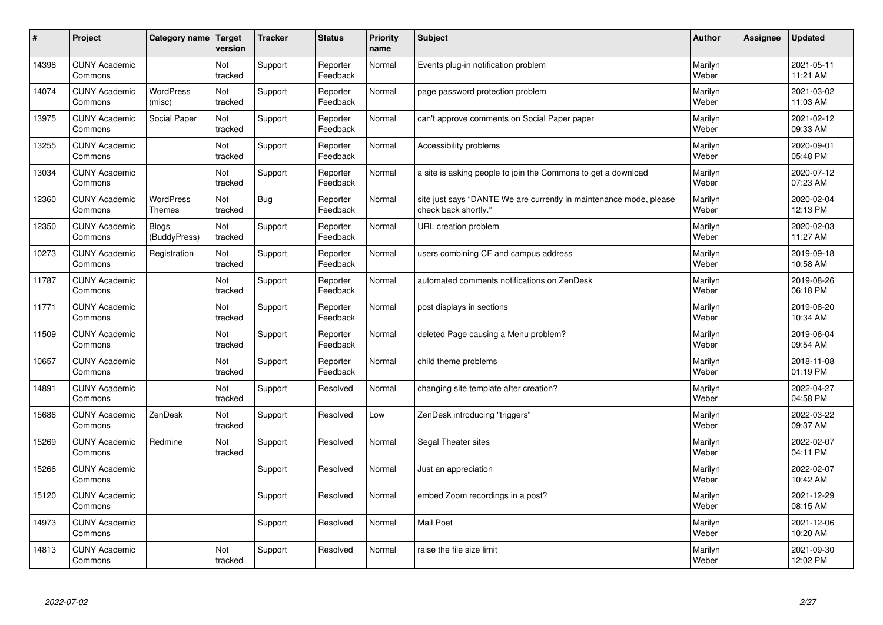| $\vert$ # | Project                         | Category name                     | Target<br>version     | <b>Tracker</b> | <b>Status</b>        | <b>Priority</b><br>name | <b>Subject</b>                                                                             | <b>Author</b>    | Assignee | <b>Updated</b>         |
|-----------|---------------------------------|-----------------------------------|-----------------------|----------------|----------------------|-------------------------|--------------------------------------------------------------------------------------------|------------------|----------|------------------------|
| 14398     | <b>CUNY Academic</b><br>Commons |                                   | Not<br>tracked        | Support        | Reporter<br>Feedback | Normal                  | Events plug-in notification problem                                                        | Marilyn<br>Weber |          | 2021-05-11<br>11:21 AM |
| 14074     | <b>CUNY Academic</b><br>Commons | <b>WordPress</b><br>(misc)        | Not<br>tracked        | Support        | Reporter<br>Feedback | Normal                  | page password protection problem                                                           | Marilyn<br>Weber |          | 2021-03-02<br>11:03 AM |
| 13975     | <b>CUNY Academic</b><br>Commons | Social Paper                      | Not<br>tracked        | Support        | Reporter<br>Feedback | Normal                  | can't approve comments on Social Paper paper                                               | Marilyn<br>Weber |          | 2021-02-12<br>09:33 AM |
| 13255     | <b>CUNY Academic</b><br>Commons |                                   | Not<br>tracked        | Support        | Reporter<br>Feedback | Normal                  | Accessibility problems                                                                     | Marilyn<br>Weber |          | 2020-09-01<br>05:48 PM |
| 13034     | <b>CUNY Academic</b><br>Commons |                                   | <b>Not</b><br>tracked | Support        | Reporter<br>Feedback | Normal                  | a site is asking people to join the Commons to get a download                              | Marilyn<br>Weber |          | 2020-07-12<br>07:23 AM |
| 12360     | <b>CUNY Academic</b><br>Commons | <b>WordPress</b><br><b>Themes</b> | Not<br>tracked        | <b>Bug</b>     | Reporter<br>Feedback | Normal                  | site just says "DANTE We are currently in maintenance mode, please<br>check back shortly." | Marilyn<br>Weber |          | 2020-02-04<br>12:13 PM |
| 12350     | <b>CUNY Academic</b><br>Commons | <b>Blogs</b><br>(BuddyPress)      | Not<br>tracked        | Support        | Reporter<br>Feedback | Normal                  | URL creation problem                                                                       | Marilyn<br>Weber |          | 2020-02-03<br>11:27 AM |
| 10273     | <b>CUNY Academic</b><br>Commons | Registration                      | <b>Not</b><br>tracked | Support        | Reporter<br>Feedback | Normal                  | users combining CF and campus address                                                      | Marilyn<br>Weber |          | 2019-09-18<br>10:58 AM |
| 11787     | <b>CUNY Academic</b><br>Commons |                                   | Not<br>tracked        | Support        | Reporter<br>Feedback | Normal                  | automated comments notifications on ZenDesk                                                | Marilyn<br>Weber |          | 2019-08-26<br>06:18 PM |
| 11771     | <b>CUNY Academic</b><br>Commons |                                   | Not<br>tracked        | Support        | Reporter<br>Feedback | Normal                  | post displays in sections                                                                  | Marilyn<br>Weber |          | 2019-08-20<br>10:34 AM |
| 11509     | <b>CUNY Academic</b><br>Commons |                                   | Not<br>tracked        | Support        | Reporter<br>Feedback | Normal                  | deleted Page causing a Menu problem?                                                       | Marilyn<br>Weber |          | 2019-06-04<br>09:54 AM |
| 10657     | <b>CUNY Academic</b><br>Commons |                                   | Not<br>tracked        | Support        | Reporter<br>Feedback | Normal                  | child theme problems                                                                       | Marilyn<br>Weber |          | 2018-11-08<br>01:19 PM |
| 14891     | <b>CUNY Academic</b><br>Commons |                                   | Not<br>tracked        | Support        | Resolved             | Normal                  | changing site template after creation?                                                     | Marilyn<br>Weber |          | 2022-04-27<br>04:58 PM |
| 15686     | <b>CUNY Academic</b><br>Commons | ZenDesk                           | Not<br>tracked        | Support        | Resolved             | Low                     | ZenDesk introducing "triggers"                                                             | Marilyn<br>Weber |          | 2022-03-22<br>09:37 AM |
| 15269     | <b>CUNY Academic</b><br>Commons | Redmine                           | Not<br>tracked        | Support        | Resolved             | Normal                  | Segal Theater sites                                                                        | Marilyn<br>Weber |          | 2022-02-07<br>04:11 PM |
| 15266     | <b>CUNY Academic</b><br>Commons |                                   |                       | Support        | Resolved             | Normal                  | Just an appreciation                                                                       | Marilyn<br>Weber |          | 2022-02-07<br>10:42 AM |
| 15120     | <b>CUNY Academic</b><br>Commons |                                   |                       | Support        | Resolved             | Normal                  | embed Zoom recordings in a post?                                                           | Marilyn<br>Weber |          | 2021-12-29<br>08:15 AM |
| 14973     | <b>CUNY Academic</b><br>Commons |                                   |                       | Support        | Resolved             | Normal                  | <b>Mail Poet</b>                                                                           | Marilyn<br>Weber |          | 2021-12-06<br>10:20 AM |
| 14813     | <b>CUNY Academic</b><br>Commons |                                   | Not<br>tracked        | Support        | Resolved             | Normal                  | raise the file size limit                                                                  | Marilyn<br>Weber |          | 2021-09-30<br>12:02 PM |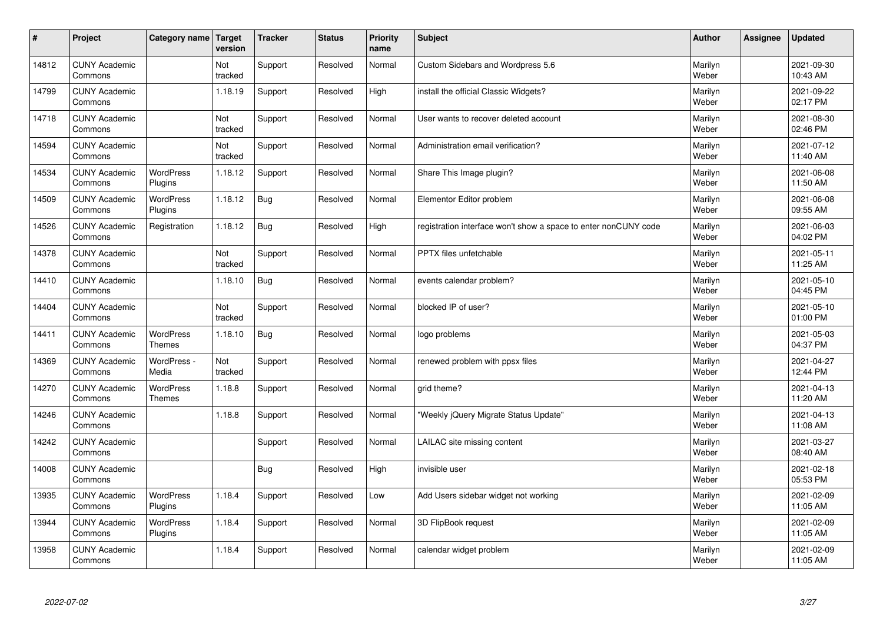| $\sharp$ | Project                         | Category name               | Target<br>version | <b>Tracker</b> | <b>Status</b> | <b>Priority</b><br>name | <b>Subject</b>                                                  | <b>Author</b>    | Assignee | <b>Updated</b>         |
|----------|---------------------------------|-----------------------------|-------------------|----------------|---------------|-------------------------|-----------------------------------------------------------------|------------------|----------|------------------------|
| 14812    | <b>CUNY Academic</b><br>Commons |                             | Not<br>tracked    | Support        | Resolved      | Normal                  | <b>Custom Sidebars and Wordpress 5.6</b>                        | Marilyn<br>Weber |          | 2021-09-30<br>10:43 AM |
| 14799    | <b>CUNY Academic</b><br>Commons |                             | 1.18.19           | Support        | Resolved      | High                    | install the official Classic Widgets?                           | Marilyn<br>Weber |          | 2021-09-22<br>02:17 PM |
| 14718    | <b>CUNY Academic</b><br>Commons |                             | Not<br>tracked    | Support        | Resolved      | Normal                  | User wants to recover deleted account                           | Marilyn<br>Weber |          | 2021-08-30<br>02:46 PM |
| 14594    | <b>CUNY Academic</b><br>Commons |                             | Not<br>tracked    | Support        | Resolved      | Normal                  | Administration email verification?                              | Marilyn<br>Weber |          | 2021-07-12<br>11:40 AM |
| 14534    | <b>CUNY Academic</b><br>Commons | <b>WordPress</b><br>Plugins | 1.18.12           | Support        | Resolved      | Normal                  | Share This Image plugin?                                        | Marilyn<br>Weber |          | 2021-06-08<br>11:50 AM |
| 14509    | <b>CUNY Academic</b><br>Commons | <b>WordPress</b><br>Plugins | 1.18.12           | <b>Bug</b>     | Resolved      | Normal                  | Elementor Editor problem                                        | Marilyn<br>Weber |          | 2021-06-08<br>09:55 AM |
| 14526    | <b>CUNY Academic</b><br>Commons | Registration                | 1.18.12           | <b>Bug</b>     | Resolved      | High                    | registration interface won't show a space to enter nonCUNY code | Marilyn<br>Weber |          | 2021-06-03<br>04:02 PM |
| 14378    | <b>CUNY Academic</b><br>Commons |                             | Not<br>tracked    | Support        | Resolved      | Normal                  | PPTX files unfetchable                                          | Marilyn<br>Weber |          | 2021-05-11<br>11:25 AM |
| 14410    | <b>CUNY Academic</b><br>Commons |                             | 1.18.10           | Bug            | Resolved      | Normal                  | events calendar problem?                                        | Marilyn<br>Weber |          | 2021-05-10<br>04:45 PM |
| 14404    | <b>CUNY Academic</b><br>Commons |                             | Not<br>tracked    | Support        | Resolved      | Normal                  | blocked IP of user?                                             | Marilyn<br>Weber |          | 2021-05-10<br>01:00 PM |
| 14411    | <b>CUNY Academic</b><br>Commons | <b>WordPress</b><br>Themes  | 1.18.10           | Bug            | Resolved      | Normal                  | logo problems                                                   | Marilyn<br>Weber |          | 2021-05-03<br>04:37 PM |
| 14369    | <b>CUNY Academic</b><br>Commons | WordPress -<br>Media        | Not<br>tracked    | Support        | Resolved      | Normal                  | renewed problem with ppsx files                                 | Marilyn<br>Weber |          | 2021-04-27<br>12:44 PM |
| 14270    | <b>CUNY Academic</b><br>Commons | WordPress<br><b>Themes</b>  | 1.18.8            | Support        | Resolved      | Normal                  | grid theme?                                                     | Marilyn<br>Weber |          | 2021-04-13<br>11:20 AM |
| 14246    | <b>CUNY Academic</b><br>Commons |                             | 1.18.8            | Support        | Resolved      | Normal                  | "Weekly jQuery Migrate Status Update"                           | Marilyn<br>Weber |          | 2021-04-13<br>11:08 AM |
| 14242    | <b>CUNY Academic</b><br>Commons |                             |                   | Support        | Resolved      | Normal                  | LAILAC site missing content                                     | Marilyn<br>Weber |          | 2021-03-27<br>08:40 AM |
| 14008    | <b>CUNY Academic</b><br>Commons |                             |                   | Bug            | Resolved      | High                    | invisible user                                                  | Marilyn<br>Weber |          | 2021-02-18<br>05:53 PM |
| 13935    | <b>CUNY Academic</b><br>Commons | WordPress<br>Plugins        | 1.18.4            | Support        | Resolved      | Low                     | Add Users sidebar widget not working                            | Marilyn<br>Weber |          | 2021-02-09<br>11:05 AM |
| 13944    | <b>CUNY Academic</b><br>Commons | <b>WordPress</b><br>Plugins | 1.18.4            | Support        | Resolved      | Normal                  | 3D FlipBook request                                             | Marilyn<br>Weber |          | 2021-02-09<br>11:05 AM |
| 13958    | <b>CUNY Academic</b><br>Commons |                             | 1.18.4            | Support        | Resolved      | Normal                  | calendar widget problem                                         | Marilyn<br>Weber |          | 2021-02-09<br>11:05 AM |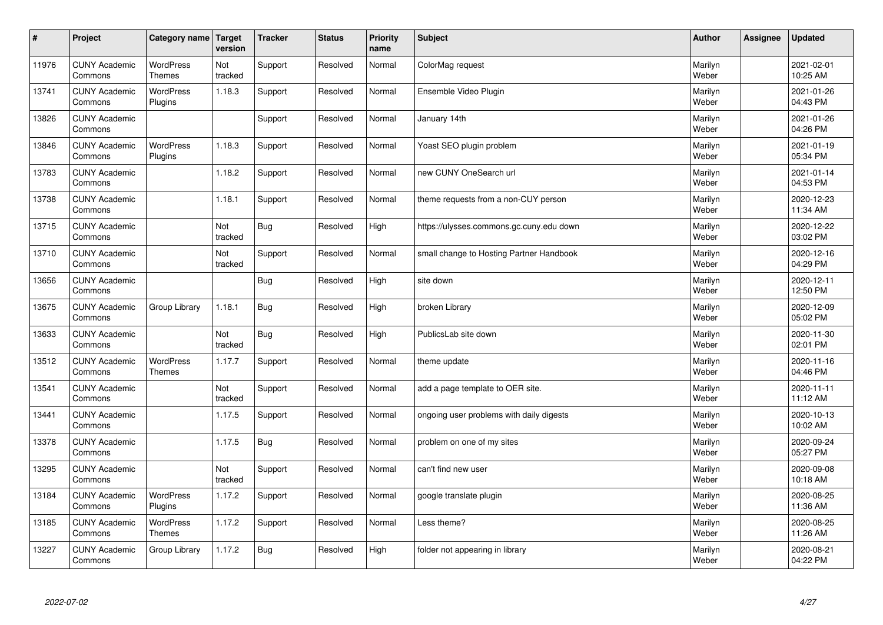| $\sharp$ | Project                         | Category name                     | Target<br>version | <b>Tracker</b> | <b>Status</b> | <b>Priority</b><br>name | <b>Subject</b>                           | <b>Author</b>    | Assignee | <b>Updated</b>         |
|----------|---------------------------------|-----------------------------------|-------------------|----------------|---------------|-------------------------|------------------------------------------|------------------|----------|------------------------|
| 11976    | <b>CUNY Academic</b><br>Commons | <b>WordPress</b><br><b>Themes</b> | Not<br>tracked    | Support        | Resolved      | Normal                  | ColorMag request                         | Marilyn<br>Weber |          | 2021-02-01<br>10:25 AM |
| 13741    | <b>CUNY Academic</b><br>Commons | <b>WordPress</b><br>Plugins       | 1.18.3            | Support        | Resolved      | Normal                  | Ensemble Video Plugin                    | Marilyn<br>Weber |          | 2021-01-26<br>04:43 PM |
| 13826    | <b>CUNY Academic</b><br>Commons |                                   |                   | Support        | Resolved      | Normal                  | January 14th                             | Marilyn<br>Weber |          | 2021-01-26<br>04:26 PM |
| 13846    | <b>CUNY Academic</b><br>Commons | <b>WordPress</b><br>Plugins       | 1.18.3            | Support        | Resolved      | Normal                  | Yoast SEO plugin problem                 | Marilyn<br>Weber |          | 2021-01-19<br>05:34 PM |
| 13783    | <b>CUNY Academic</b><br>Commons |                                   | 1.18.2            | Support        | Resolved      | Normal                  | new CUNY OneSearch url                   | Marilyn<br>Weber |          | 2021-01-14<br>04:53 PM |
| 13738    | <b>CUNY Academic</b><br>Commons |                                   | 1.18.1            | Support        | Resolved      | Normal                  | theme requests from a non-CUY person     | Marilyn<br>Weber |          | 2020-12-23<br>11:34 AM |
| 13715    | <b>CUNY Academic</b><br>Commons |                                   | Not<br>tracked    | <b>Bug</b>     | Resolved      | High                    | https://ulysses.commons.gc.cuny.edu down | Marilyn<br>Weber |          | 2020-12-22<br>03:02 PM |
| 13710    | <b>CUNY Academic</b><br>Commons |                                   | Not<br>tracked    | Support        | Resolved      | Normal                  | small change to Hosting Partner Handbook | Marilyn<br>Weber |          | 2020-12-16<br>04:29 PM |
| 13656    | <b>CUNY Academic</b><br>Commons |                                   |                   | Bug            | Resolved      | High                    | site down                                | Marilyn<br>Weber |          | 2020-12-11<br>12:50 PM |
| 13675    | <b>CUNY Academic</b><br>Commons | Group Library                     | 1.18.1            | <b>Bug</b>     | Resolved      | High                    | broken Library                           | Marilyn<br>Weber |          | 2020-12-09<br>05:02 PM |
| 13633    | <b>CUNY Academic</b><br>Commons |                                   | Not<br>tracked    | <b>Bug</b>     | Resolved      | High                    | PublicsLab site down                     | Marilyn<br>Weber |          | 2020-11-30<br>02:01 PM |
| 13512    | <b>CUNY Academic</b><br>Commons | <b>WordPress</b><br>Themes        | 1.17.7            | Support        | Resolved      | Normal                  | theme update                             | Marilyn<br>Weber |          | 2020-11-16<br>04:46 PM |
| 13541    | <b>CUNY Academic</b><br>Commons |                                   | Not<br>tracked    | Support        | Resolved      | Normal                  | add a page template to OER site.         | Marilyn<br>Weber |          | 2020-11-11<br>11:12 AM |
| 13441    | <b>CUNY Academic</b><br>Commons |                                   | 1.17.5            | Support        | Resolved      | Normal                  | ongoing user problems with daily digests | Marilyn<br>Weber |          | 2020-10-13<br>10:02 AM |
| 13378    | <b>CUNY Academic</b><br>Commons |                                   | 1.17.5            | <b>Bug</b>     | Resolved      | Normal                  | problem on one of my sites               | Marilyn<br>Weber |          | 2020-09-24<br>05:27 PM |
| 13295    | <b>CUNY Academic</b><br>Commons |                                   | Not<br>tracked    | Support        | Resolved      | Normal                  | can't find new user                      | Marilyn<br>Weber |          | 2020-09-08<br>10:18 AM |
| 13184    | <b>CUNY Academic</b><br>Commons | WordPress<br>Plugins              | 1.17.2            | Support        | Resolved      | Normal                  | google translate plugin                  | Marilyn<br>Weber |          | 2020-08-25<br>11:36 AM |
| 13185    | <b>CUNY Academic</b><br>Commons | WordPress<br>Themes               | 1.17.2            | Support        | Resolved      | Normal                  | Less theme?                              | Marilyn<br>Weber |          | 2020-08-25<br>11:26 AM |
| 13227    | <b>CUNY Academic</b><br>Commons | Group Library                     | 1.17.2            | Bug            | Resolved      | High                    | folder not appearing in library          | Marilyn<br>Weber |          | 2020-08-21<br>04:22 PM |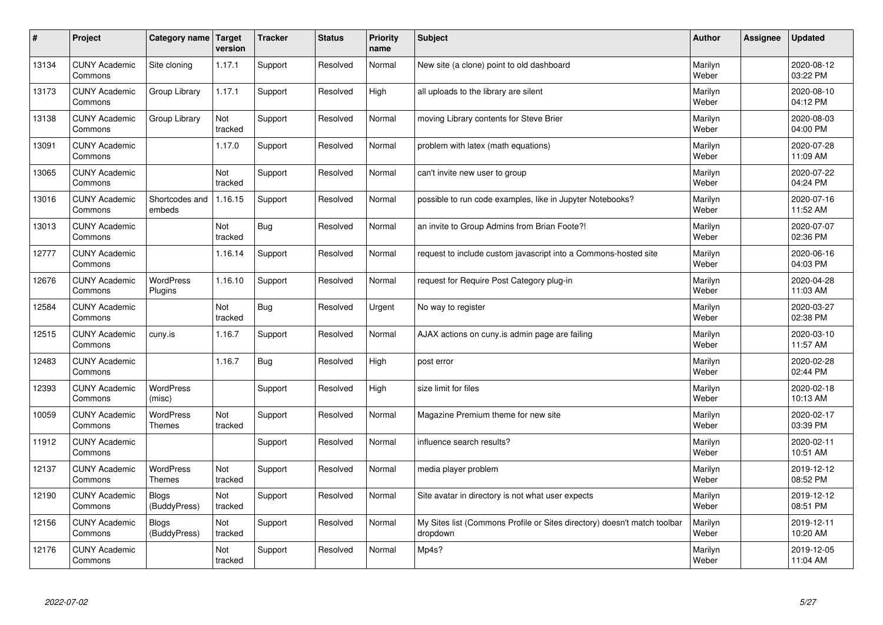| $\sharp$ | Project                         | Category name                     | Target<br>version | <b>Tracker</b> | <b>Status</b> | <b>Priority</b><br>name | <b>Subject</b>                                                                       | <b>Author</b>    | Assignee | <b>Updated</b>         |
|----------|---------------------------------|-----------------------------------|-------------------|----------------|---------------|-------------------------|--------------------------------------------------------------------------------------|------------------|----------|------------------------|
| 13134    | <b>CUNY Academic</b><br>Commons | Site cloning                      | 1.17.1            | Support        | Resolved      | Normal                  | New site (a clone) point to old dashboard                                            | Marilyn<br>Weber |          | 2020-08-12<br>03:22 PM |
| 13173    | <b>CUNY Academic</b><br>Commons | Group Library                     | 1.17.1            | Support        | Resolved      | High                    | all uploads to the library are silent                                                | Marilyn<br>Weber |          | 2020-08-10<br>04:12 PM |
| 13138    | <b>CUNY Academic</b><br>Commons | Group Library                     | Not<br>tracked    | Support        | Resolved      | Normal                  | moving Library contents for Steve Brier                                              | Marilyn<br>Weber |          | 2020-08-03<br>04:00 PM |
| 13091    | <b>CUNY Academic</b><br>Commons |                                   | 1.17.0            | Support        | Resolved      | Normal                  | problem with latex (math equations)                                                  | Marilyn<br>Weber |          | 2020-07-28<br>11:09 AM |
| 13065    | <b>CUNY Academic</b><br>Commons |                                   | Not<br>tracked    | Support        | Resolved      | Normal                  | can't invite new user to group                                                       | Marilyn<br>Weber |          | 2020-07-22<br>04:24 PM |
| 13016    | <b>CUNY Academic</b><br>Commons | Shortcodes and<br>embeds          | 1.16.15           | Support        | Resolved      | Normal                  | possible to run code examples, like in Jupyter Notebooks?                            | Marilyn<br>Weber |          | 2020-07-16<br>11:52 AM |
| 13013    | <b>CUNY Academic</b><br>Commons |                                   | Not<br>tracked    | <b>Bug</b>     | Resolved      | Normal                  | an invite to Group Admins from Brian Foote?!                                         | Marilyn<br>Weber |          | 2020-07-07<br>02:36 PM |
| 12777    | <b>CUNY Academic</b><br>Commons |                                   | 1.16.14           | Support        | Resolved      | Normal                  | request to include custom javascript into a Commons-hosted site                      | Marilyn<br>Weber |          | 2020-06-16<br>04:03 PM |
| 12676    | <b>CUNY Academic</b><br>Commons | <b>WordPress</b><br>Plugins       | 1.16.10           | Support        | Resolved      | Normal                  | request for Require Post Category plug-in                                            | Marilyn<br>Weber |          | 2020-04-28<br>11:03 AM |
| 12584    | <b>CUNY Academic</b><br>Commons |                                   | Not<br>tracked    | <b>Bug</b>     | Resolved      | Urgent                  | No way to register                                                                   | Marilyn<br>Weber |          | 2020-03-27<br>02:38 PM |
| 12515    | <b>CUNY Academic</b><br>Commons | cuny.is                           | 1.16.7            | Support        | Resolved      | Normal                  | AJAX actions on cuny is admin page are failing                                       | Marilyn<br>Weber |          | 2020-03-10<br>11:57 AM |
| 12483    | <b>CUNY Academic</b><br>Commons |                                   | 1.16.7            | <b>Bug</b>     | Resolved      | High                    | post error                                                                           | Marilyn<br>Weber |          | 2020-02-28<br>02:44 PM |
| 12393    | <b>CUNY Academic</b><br>Commons | <b>WordPress</b><br>(misc)        |                   | Support        | Resolved      | High                    | size limit for files                                                                 | Marilyn<br>Weber |          | 2020-02-18<br>10:13 AM |
| 10059    | <b>CUNY Academic</b><br>Commons | <b>WordPress</b><br>Themes        | Not<br>tracked    | Support        | Resolved      | Normal                  | Magazine Premium theme for new site                                                  | Marilyn<br>Weber |          | 2020-02-17<br>03:39 PM |
| 11912    | <b>CUNY Academic</b><br>Commons |                                   |                   | Support        | Resolved      | Normal                  | influence search results?                                                            | Marilyn<br>Weber |          | 2020-02-11<br>10:51 AM |
| 12137    | <b>CUNY Academic</b><br>Commons | <b>WordPress</b><br><b>Themes</b> | Not<br>tracked    | Support        | Resolved      | Normal                  | media player problem                                                                 | Marilyn<br>Weber |          | 2019-12-12<br>08:52 PM |
| 12190    | <b>CUNY Academic</b><br>Commons | <b>Blogs</b><br>(BuddyPress)      | Not<br>tracked    | Support        | Resolved      | Normal                  | Site avatar in directory is not what user expects                                    | Marilyn<br>Weber |          | 2019-12-12<br>08:51 PM |
| 12156    | <b>CUNY Academic</b><br>Commons | <b>Blogs</b><br>(BuddyPress)      | Not<br>tracked    | Support        | Resolved      | Normal                  | My Sites list (Commons Profile or Sites directory) doesn't match toolbar<br>dropdown | Marilyn<br>Weber |          | 2019-12-11<br>10:20 AM |
| 12176    | <b>CUNY Academic</b><br>Commons |                                   | Not<br>tracked    | Support        | Resolved      | Normal                  | Mp4s?                                                                                | Marilyn<br>Weber |          | 2019-12-05<br>11:04 AM |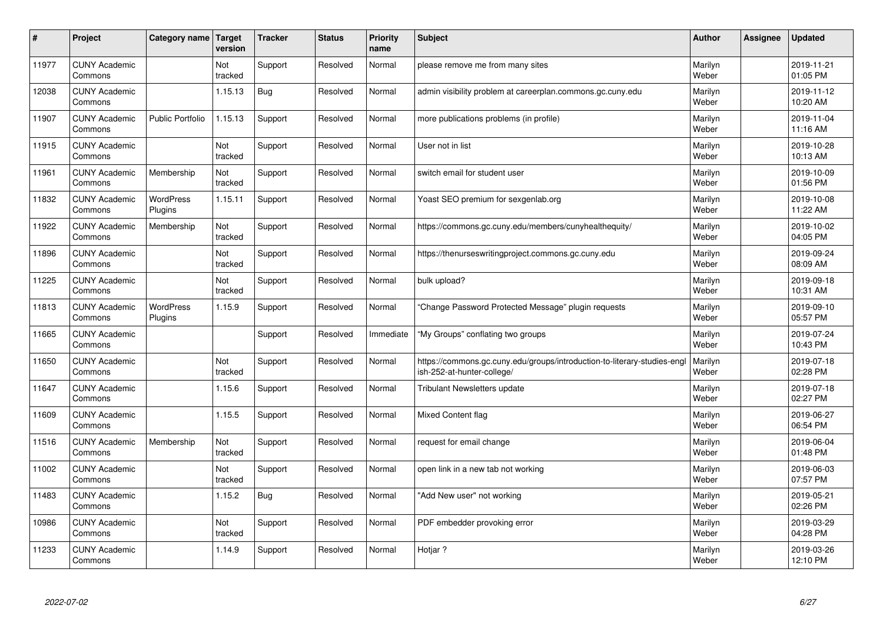| $\sharp$ | Project                         | Category name               | Target<br>version | <b>Tracker</b> | <b>Status</b> | <b>Priority</b><br>name | <b>Subject</b>                                                                                         | <b>Author</b>    | Assignee | <b>Updated</b>         |
|----------|---------------------------------|-----------------------------|-------------------|----------------|---------------|-------------------------|--------------------------------------------------------------------------------------------------------|------------------|----------|------------------------|
| 11977    | <b>CUNY Academic</b><br>Commons |                             | Not<br>tracked    | Support        | Resolved      | Normal                  | please remove me from many sites                                                                       | Marilyn<br>Weber |          | 2019-11-21<br>01:05 PM |
| 12038    | <b>CUNY Academic</b><br>Commons |                             | 1.15.13           | <b>Bug</b>     | Resolved      | Normal                  | admin visibility problem at careerplan.commons.gc.cuny.edu                                             | Marilyn<br>Weber |          | 2019-11-12<br>10:20 AM |
| 11907    | <b>CUNY Academic</b><br>Commons | <b>Public Portfolio</b>     | 1.15.13           | Support        | Resolved      | Normal                  | more publications problems (in profile)                                                                | Marilyn<br>Weber |          | 2019-11-04<br>11:16 AM |
| 11915    | <b>CUNY Academic</b><br>Commons |                             | Not<br>tracked    | Support        | Resolved      | Normal                  | User not in list                                                                                       | Marilyn<br>Weber |          | 2019-10-28<br>10:13 AM |
| 11961    | <b>CUNY Academic</b><br>Commons | Membership                  | Not<br>tracked    | Support        | Resolved      | Normal                  | switch email for student user                                                                          | Marilyn<br>Weber |          | 2019-10-09<br>01:56 PM |
| 11832    | <b>CUNY Academic</b><br>Commons | <b>WordPress</b><br>Plugins | 1.15.11           | Support        | Resolved      | Normal                  | Yoast SEO premium for sexgenlab.org                                                                    | Marilyn<br>Weber |          | 2019-10-08<br>11:22 AM |
| 11922    | <b>CUNY Academic</b><br>Commons | Membership                  | Not<br>tracked    | Support        | Resolved      | Normal                  | https://commons.gc.cuny.edu/members/cunyhealthequity/                                                  | Marilyn<br>Weber |          | 2019-10-02<br>04:05 PM |
| 11896    | <b>CUNY Academic</b><br>Commons |                             | Not<br>tracked    | Support        | Resolved      | Normal                  | https://thenurseswritingproject.commons.gc.cuny.edu                                                    | Marilyn<br>Weber |          | 2019-09-24<br>08:09 AM |
| 11225    | <b>CUNY Academic</b><br>Commons |                             | Not<br>tracked    | Support        | Resolved      | Normal                  | bulk upload?                                                                                           | Marilyn<br>Weber |          | 2019-09-18<br>10:31 AM |
| 11813    | <b>CUNY Academic</b><br>Commons | WordPress<br>Plugins        | 1.15.9            | Support        | Resolved      | Normal                  | 'Change Password Protected Message" plugin requests                                                    | Marilyn<br>Weber |          | 2019-09-10<br>05:57 PM |
| 11665    | <b>CUNY Academic</b><br>Commons |                             |                   | Support        | Resolved      | Immediate               | 'My Groups" conflating two groups                                                                      | Marilyn<br>Weber |          | 2019-07-24<br>10:43 PM |
| 11650    | <b>CUNY Academic</b><br>Commons |                             | Not<br>tracked    | Support        | Resolved      | Normal                  | https://commons.gc.cuny.edu/groups/introduction-to-literary-studies-engl<br>ish-252-at-hunter-college/ | Marilyn<br>Weber |          | 2019-07-18<br>02:28 PM |
| 11647    | <b>CUNY Academic</b><br>Commons |                             | 1.15.6            | Support        | Resolved      | Normal                  | Tribulant Newsletters update                                                                           | Marilyn<br>Weber |          | 2019-07-18<br>02:27 PM |
| 11609    | <b>CUNY Academic</b><br>Commons |                             | 1.15.5            | Support        | Resolved      | Normal                  | Mixed Content flag                                                                                     | Marilyn<br>Weber |          | 2019-06-27<br>06:54 PM |
| 11516    | <b>CUNY Academic</b><br>Commons | Membership                  | Not<br>tracked    | Support        | Resolved      | Normal                  | request for email change                                                                               | Marilyn<br>Weber |          | 2019-06-04<br>01:48 PM |
| 11002    | <b>CUNY Academic</b><br>Commons |                             | Not<br>tracked    | Support        | Resolved      | Normal                  | open link in a new tab not working                                                                     | Marilyn<br>Weber |          | 2019-06-03<br>07:57 PM |
| 11483    | <b>CUNY Academic</b><br>Commons |                             | 1.15.2            | <b>Bug</b>     | Resolved      | Normal                  | 'Add New user" not working                                                                             | Marilyn<br>Weber |          | 2019-05-21<br>02:26 PM |
| 10986    | <b>CUNY Academic</b><br>Commons |                             | Not<br>tracked    | Support        | Resolved      | Normal                  | PDF embedder provoking error                                                                           | Marilyn<br>Weber |          | 2019-03-29<br>04:28 PM |
| 11233    | <b>CUNY Academic</b><br>Commons |                             | 1.14.9            | Support        | Resolved      | Normal                  | Hotjar ?                                                                                               | Marilyn<br>Weber |          | 2019-03-26<br>12:10 PM |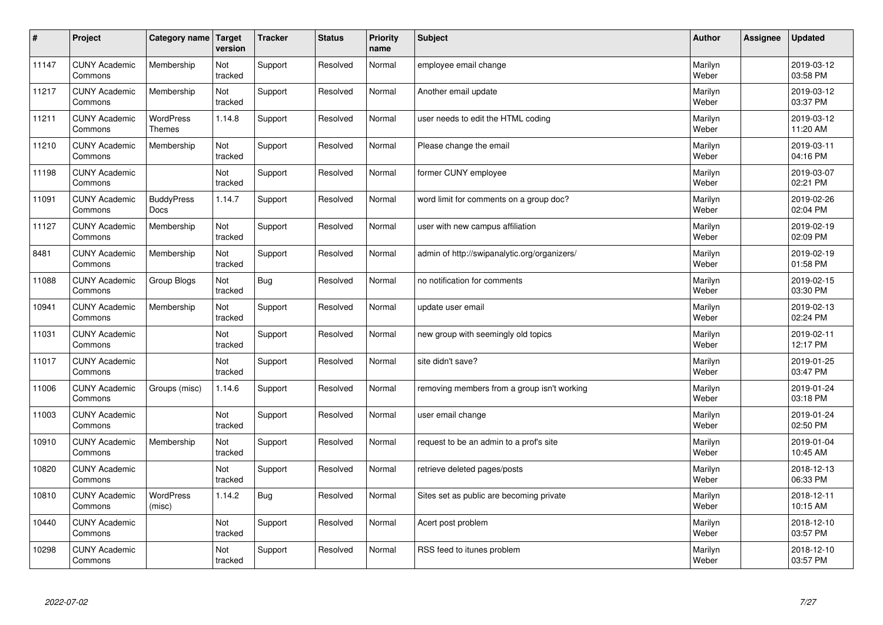| $\sharp$ | Project                         | Category name                     | Target<br>version | <b>Tracker</b> | <b>Status</b> | <b>Priority</b><br>name | <b>Subject</b>                               | <b>Author</b>    | Assignee | <b>Updated</b>         |
|----------|---------------------------------|-----------------------------------|-------------------|----------------|---------------|-------------------------|----------------------------------------------|------------------|----------|------------------------|
| 11147    | <b>CUNY Academic</b><br>Commons | Membership                        | Not<br>tracked    | Support        | Resolved      | Normal                  | employee email change                        | Marilyn<br>Weber |          | 2019-03-12<br>03:58 PM |
| 11217    | <b>CUNY Academic</b><br>Commons | Membership                        | Not<br>tracked    | Support        | Resolved      | Normal                  | Another email update                         | Marilyn<br>Weber |          | 2019-03-12<br>03:37 PM |
| 11211    | <b>CUNY Academic</b><br>Commons | <b>WordPress</b><br><b>Themes</b> | 1.14.8            | Support        | Resolved      | Normal                  | user needs to edit the HTML coding           | Marilyn<br>Weber |          | 2019-03-12<br>11:20 AM |
| 11210    | <b>CUNY Academic</b><br>Commons | Membership                        | Not<br>tracked    | Support        | Resolved      | Normal                  | Please change the email                      | Marilyn<br>Weber |          | 2019-03-11<br>04:16 PM |
| 11198    | <b>CUNY Academic</b><br>Commons |                                   | Not<br>tracked    | Support        | Resolved      | Normal                  | former CUNY employee                         | Marilyn<br>Weber |          | 2019-03-07<br>02:21 PM |
| 11091    | <b>CUNY Academic</b><br>Commons | <b>BuddyPress</b><br><b>Docs</b>  | 1.14.7            | Support        | Resolved      | Normal                  | word limit for comments on a group doc?      | Marilyn<br>Weber |          | 2019-02-26<br>02:04 PM |
| 11127    | <b>CUNY Academic</b><br>Commons | Membership                        | Not<br>tracked    | Support        | Resolved      | Normal                  | user with new campus affiliation             | Marilyn<br>Weber |          | 2019-02-19<br>02:09 PM |
| 8481     | <b>CUNY Academic</b><br>Commons | Membership                        | Not<br>tracked    | Support        | Resolved      | Normal                  | admin of http://swipanalytic.org/organizers/ | Marilyn<br>Weber |          | 2019-02-19<br>01:58 PM |
| 11088    | <b>CUNY Academic</b><br>Commons | Group Blogs                       | Not<br>tracked    | Bug            | Resolved      | Normal                  | no notification for comments                 | Marilyn<br>Weber |          | 2019-02-15<br>03:30 PM |
| 10941    | <b>CUNY Academic</b><br>Commons | Membership                        | Not<br>tracked    | Support        | Resolved      | Normal                  | update user email                            | Marilyn<br>Weber |          | 2019-02-13<br>02:24 PM |
| 11031    | <b>CUNY Academic</b><br>Commons |                                   | Not<br>tracked    | Support        | Resolved      | Normal                  | new group with seemingly old topics          | Marilyn<br>Weber |          | 2019-02-11<br>12:17 PM |
| 11017    | <b>CUNY Academic</b><br>Commons |                                   | Not<br>tracked    | Support        | Resolved      | Normal                  | site didn't save?                            | Marilyn<br>Weber |          | 2019-01-25<br>03:47 PM |
| 11006    | <b>CUNY Academic</b><br>Commons | Groups (misc)                     | 1.14.6            | Support        | Resolved      | Normal                  | removing members from a group isn't working  | Marilyn<br>Weber |          | 2019-01-24<br>03:18 PM |
| 11003    | <b>CUNY Academic</b><br>Commons |                                   | Not<br>tracked    | Support        | Resolved      | Normal                  | user email change                            | Marilyn<br>Weber |          | 2019-01-24<br>02:50 PM |
| 10910    | <b>CUNY Academic</b><br>Commons | Membership                        | Not<br>tracked    | Support        | Resolved      | Normal                  | request to be an admin to a prof's site      | Marilyn<br>Weber |          | 2019-01-04<br>10:45 AM |
| 10820    | <b>CUNY Academic</b><br>Commons |                                   | Not<br>tracked    | Support        | Resolved      | Normal                  | retrieve deleted pages/posts                 | Marilyn<br>Weber |          | 2018-12-13<br>06:33 PM |
| 10810    | <b>CUNY Academic</b><br>Commons | WordPress<br>(misc)               | 1.14.2            | Bug            | Resolved      | Normal                  | Sites set as public are becoming private     | Marilyn<br>Weber |          | 2018-12-11<br>10:15 AM |
| 10440    | <b>CUNY Academic</b><br>Commons |                                   | Not<br>tracked    | Support        | Resolved      | Normal                  | Acert post problem                           | Marilyn<br>Weber |          | 2018-12-10<br>03:57 PM |
| 10298    | <b>CUNY Academic</b><br>Commons |                                   | Not<br>tracked    | Support        | Resolved      | Normal                  | RSS feed to itunes problem                   | Marilyn<br>Weber |          | 2018-12-10<br>03:57 PM |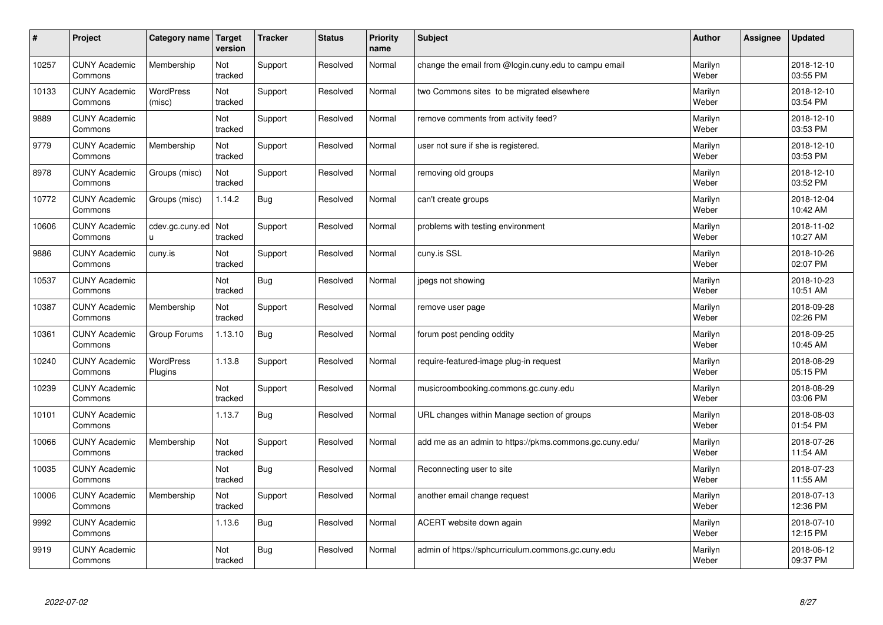| $\sharp$ | Project                         | Category name               | Target<br>version | <b>Tracker</b> | <b>Status</b> | <b>Priority</b><br>name | <b>Subject</b>                                          | <b>Author</b>    | <b>Assignee</b> | <b>Updated</b>         |
|----------|---------------------------------|-----------------------------|-------------------|----------------|---------------|-------------------------|---------------------------------------------------------|------------------|-----------------|------------------------|
| 10257    | <b>CUNY Academic</b><br>Commons | Membership                  | Not<br>tracked    | Support        | Resolved      | Normal                  | change the email from @login.cuny.edu to campu email    | Marilyn<br>Weber |                 | 2018-12-10<br>03:55 PM |
| 10133    | <b>CUNY Academic</b><br>Commons | <b>WordPress</b><br>(misc)  | Not<br>tracked    | Support        | Resolved      | Normal                  | two Commons sites to be migrated elsewhere              | Marilyn<br>Weber |                 | 2018-12-10<br>03:54 PM |
| 9889     | <b>CUNY Academic</b><br>Commons |                             | Not<br>tracked    | Support        | Resolved      | Normal                  | remove comments from activity feed?                     | Marilyn<br>Weber |                 | 2018-12-10<br>03:53 PM |
| 9779     | <b>CUNY Academic</b><br>Commons | Membership                  | Not<br>tracked    | Support        | Resolved      | Normal                  | user not sure if she is registered.                     | Marilyn<br>Weber |                 | 2018-12-10<br>03:53 PM |
| 8978     | <b>CUNY Academic</b><br>Commons | Groups (misc)               | Not<br>tracked    | Support        | Resolved      | Normal                  | removing old groups                                     | Marilyn<br>Weber |                 | 2018-12-10<br>03:52 PM |
| 10772    | <b>CUNY Academic</b><br>Commons | Groups (misc)               | 1.14.2            | Bug            | Resolved      | Normal                  | can't create groups                                     | Marilyn<br>Weber |                 | 2018-12-04<br>10:42 AM |
| 10606    | <b>CUNY Academic</b><br>Commons | cdev.gc.cuny.ed<br>u.       | Not<br>tracked    | Support        | Resolved      | Normal                  | problems with testing environment                       | Marilyn<br>Weber |                 | 2018-11-02<br>10:27 AM |
| 9886     | <b>CUNY Academic</b><br>Commons | cuny.is                     | Not<br>tracked    | Support        | Resolved      | Normal                  | cuny.is SSL                                             | Marilyn<br>Weber |                 | 2018-10-26<br>02:07 PM |
| 10537    | <b>CUNY Academic</b><br>Commons |                             | Not<br>tracked    | Bug            | Resolved      | Normal                  | jpegs not showing                                       | Marilyn<br>Weber |                 | 2018-10-23<br>10:51 AM |
| 10387    | <b>CUNY Academic</b><br>Commons | Membership                  | Not<br>tracked    | Support        | Resolved      | Normal                  | remove user page                                        | Marilyn<br>Weber |                 | 2018-09-28<br>02:26 PM |
| 10361    | <b>CUNY Academic</b><br>Commons | Group Forums                | 1.13.10           | Bug            | Resolved      | Normal                  | forum post pending oddity                               | Marilyn<br>Weber |                 | 2018-09-25<br>10:45 AM |
| 10240    | <b>CUNY Academic</b><br>Commons | <b>WordPress</b><br>Plugins | 1.13.8            | Support        | Resolved      | Normal                  | require-featured-image plug-in request                  | Marilyn<br>Weber |                 | 2018-08-29<br>05:15 PM |
| 10239    | <b>CUNY Academic</b><br>Commons |                             | Not<br>tracked    | Support        | Resolved      | Normal                  | musicroombooking.commons.gc.cuny.edu                    | Marilyn<br>Weber |                 | 2018-08-29<br>03:06 PM |
| 10101    | <b>CUNY Academic</b><br>Commons |                             | 1.13.7            | Bug            | Resolved      | Normal                  | URL changes within Manage section of groups             | Marilyn<br>Weber |                 | 2018-08-03<br>01:54 PM |
| 10066    | <b>CUNY Academic</b><br>Commons | Membership                  | Not<br>tracked    | Support        | Resolved      | Normal                  | add me as an admin to https://pkms.commons.gc.cuny.edu/ | Marilyn<br>Weber |                 | 2018-07-26<br>11:54 AM |
| 10035    | <b>CUNY Academic</b><br>Commons |                             | Not<br>tracked    | <b>Bug</b>     | Resolved      | Normal                  | Reconnecting user to site                               | Marilyn<br>Weber |                 | 2018-07-23<br>11:55 AM |
| 10006    | <b>CUNY Academic</b><br>Commons | Membership                  | Not<br>tracked    | Support        | Resolved      | Normal                  | another email change request                            | Marilyn<br>Weber |                 | 2018-07-13<br>12:36 PM |
| 9992     | <b>CUNY Academic</b><br>Commons |                             | 1.13.6            | Bug            | Resolved      | Normal                  | ACERT website down again                                | Marilyn<br>Weber |                 | 2018-07-10<br>12:15 PM |
| 9919     | <b>CUNY Academic</b><br>Commons |                             | Not<br>tracked    | Bug            | Resolved      | Normal                  | admin of https://sphcurriculum.commons.gc.cuny.edu      | Marilyn<br>Weber |                 | 2018-06-12<br>09:37 PM |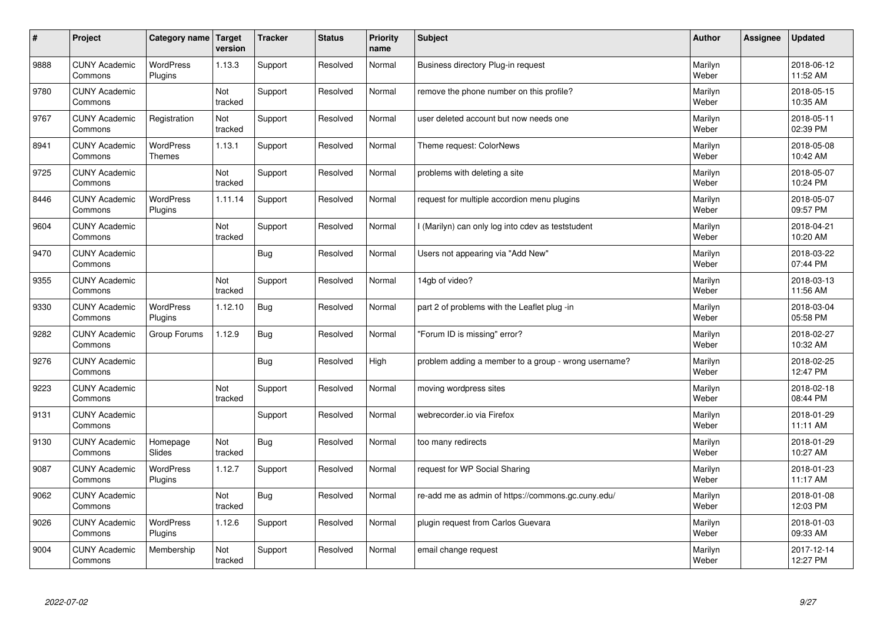| $\sharp$ | Project                         | Category name               | Target<br>version | <b>Tracker</b> | <b>Status</b> | <b>Priority</b><br>name | <b>Subject</b>                                       | <b>Author</b>    | Assignee | <b>Updated</b>         |
|----------|---------------------------------|-----------------------------|-------------------|----------------|---------------|-------------------------|------------------------------------------------------|------------------|----------|------------------------|
| 9888     | <b>CUNY Academic</b><br>Commons | <b>WordPress</b><br>Plugins | 1.13.3            | Support        | Resolved      | Normal                  | Business directory Plug-in request                   | Marilyn<br>Weber |          | 2018-06-12<br>11:52 AM |
| 9780     | <b>CUNY Academic</b><br>Commons |                             | Not<br>tracked    | Support        | Resolved      | Normal                  | remove the phone number on this profile?             | Marilyn<br>Weber |          | 2018-05-15<br>10:35 AM |
| 9767     | <b>CUNY Academic</b><br>Commons | Registration                | Not<br>tracked    | Support        | Resolved      | Normal                  | user deleted account but now needs one               | Marilyn<br>Weber |          | 2018-05-11<br>02:39 PM |
| 8941     | <b>CUNY Academic</b><br>Commons | <b>WordPress</b><br>Themes  | 1.13.1            | Support        | Resolved      | Normal                  | Theme request: ColorNews                             | Marilyn<br>Weber |          | 2018-05-08<br>10:42 AM |
| 9725     | <b>CUNY Academic</b><br>Commons |                             | Not<br>tracked    | Support        | Resolved      | Normal                  | problems with deleting a site                        | Marilyn<br>Weber |          | 2018-05-07<br>10:24 PM |
| 8446     | <b>CUNY Academic</b><br>Commons | <b>WordPress</b><br>Plugins | 1.11.14           | Support        | Resolved      | Normal                  | request for multiple accordion menu plugins          | Marilyn<br>Weber |          | 2018-05-07<br>09:57 PM |
| 9604     | <b>CUNY Academic</b><br>Commons |                             | Not<br>tracked    | Support        | Resolved      | Normal                  | I (Marilyn) can only log into cdev as teststudent    | Marilyn<br>Weber |          | 2018-04-21<br>10:20 AM |
| 9470     | <b>CUNY Academic</b><br>Commons |                             |                   | Bug            | Resolved      | Normal                  | Users not appearing via "Add New"                    | Marilyn<br>Weber |          | 2018-03-22<br>07:44 PM |
| 9355     | <b>CUNY Academic</b><br>Commons |                             | Not<br>tracked    | Support        | Resolved      | Normal                  | 14gb of video?                                       | Marilyn<br>Weber |          | 2018-03-13<br>11:56 AM |
| 9330     | <b>CUNY Academic</b><br>Commons | <b>WordPress</b><br>Plugins | 1.12.10           | Bug            | Resolved      | Normal                  | part 2 of problems with the Leaflet plug -in         | Marilyn<br>Weber |          | 2018-03-04<br>05:58 PM |
| 9282     | <b>CUNY Academic</b><br>Commons | Group Forums                | 1.12.9            | Bug            | Resolved      | Normal                  | 'Forum ID is missing" error?                         | Marilyn<br>Weber |          | 2018-02-27<br>10:32 AM |
| 9276     | <b>CUNY Academic</b><br>Commons |                             |                   | <b>Bug</b>     | Resolved      | High                    | problem adding a member to a group - wrong username? | Marilyn<br>Weber |          | 2018-02-25<br>12:47 PM |
| 9223     | <b>CUNY Academic</b><br>Commons |                             | Not<br>tracked    | Support        | Resolved      | Normal                  | moving wordpress sites                               | Marilyn<br>Weber |          | 2018-02-18<br>08:44 PM |
| 9131     | <b>CUNY Academic</b><br>Commons |                             |                   | Support        | Resolved      | Normal                  | webrecorder.io via Firefox                           | Marilyn<br>Weber |          | 2018-01-29<br>11:11 AM |
| 9130     | <b>CUNY Academic</b><br>Commons | Homepage<br>Slides          | Not<br>tracked    | <b>Bug</b>     | Resolved      | Normal                  | too many redirects                                   | Marilyn<br>Weber |          | 2018-01-29<br>10:27 AM |
| 9087     | <b>CUNY Academic</b><br>Commons | <b>WordPress</b><br>Plugins | 1.12.7            | Support        | Resolved      | Normal                  | request for WP Social Sharing                        | Marilyn<br>Weber |          | 2018-01-23<br>11:17 AM |
| 9062     | <b>CUNY Academic</b><br>Commons |                             | Not<br>tracked    | Bug            | Resolved      | Normal                  | re-add me as admin of https://commons.gc.cuny.edu/   | Marilyn<br>Weber |          | 2018-01-08<br>12:03 PM |
| 9026     | <b>CUNY Academic</b><br>Commons | WordPress<br>Plugins        | 1.12.6            | Support        | Resolved      | Normal                  | plugin request from Carlos Guevara                   | Marilyn<br>Weber |          | 2018-01-03<br>09:33 AM |
| 9004     | <b>CUNY Academic</b><br>Commons | Membership                  | Not<br>tracked    | Support        | Resolved      | Normal                  | email change request                                 | Marilyn<br>Weber |          | 2017-12-14<br>12:27 PM |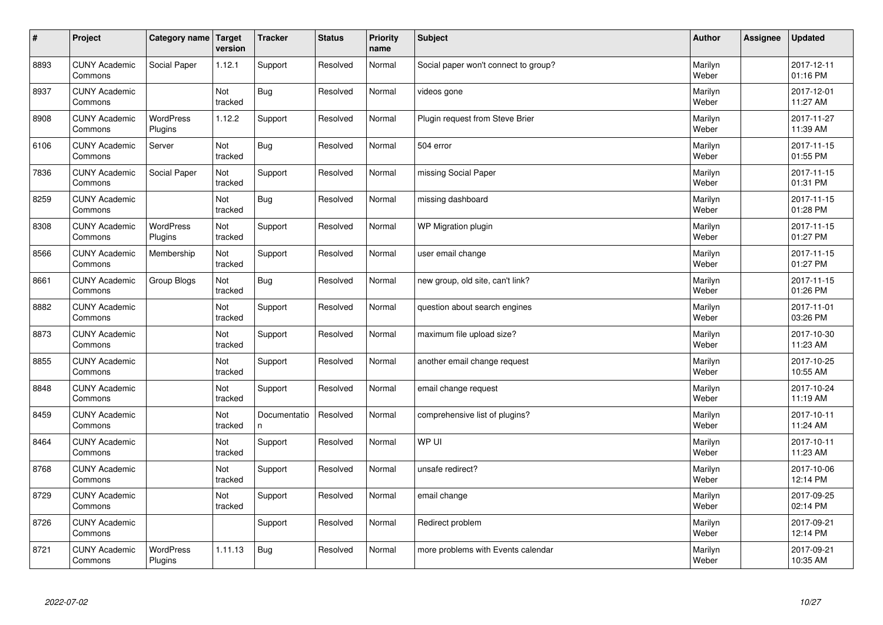| $\sharp$ | Project                         | Category name   Target      | version        | <b>Tracker</b>    | <b>Status</b> | <b>Priority</b><br>name | <b>Subject</b>                       | <b>Author</b>    | Assignee | <b>Updated</b>         |
|----------|---------------------------------|-----------------------------|----------------|-------------------|---------------|-------------------------|--------------------------------------|------------------|----------|------------------------|
| 8893     | <b>CUNY Academic</b><br>Commons | Social Paper                | 1.12.1         | Support           | Resolved      | Normal                  | Social paper won't connect to group? | Marilyn<br>Weber |          | 2017-12-11<br>01:16 PM |
| 8937     | <b>CUNY Academic</b><br>Commons |                             | Not<br>tracked | <b>Bug</b>        | Resolved      | Normal                  | videos gone                          | Marilyn<br>Weber |          | 2017-12-01<br>11:27 AM |
| 8908     | <b>CUNY Academic</b><br>Commons | <b>WordPress</b><br>Plugins | 1.12.2         | Support           | Resolved      | Normal                  | Plugin request from Steve Brier      | Marilyn<br>Weber |          | 2017-11-27<br>11:39 AM |
| 6106     | <b>CUNY Academic</b><br>Commons | Server                      | Not<br>tracked | Bug               | Resolved      | Normal                  | 504 error                            | Marilyn<br>Weber |          | 2017-11-15<br>01:55 PM |
| 7836     | <b>CUNY Academic</b><br>Commons | Social Paper                | Not<br>tracked | Support           | Resolved      | Normal                  | missing Social Paper                 | Marilyn<br>Weber |          | 2017-11-15<br>01:31 PM |
| 8259     | <b>CUNY Academic</b><br>Commons |                             | Not<br>tracked | <b>Bug</b>        | Resolved      | Normal                  | missing dashboard                    | Marilyn<br>Weber |          | 2017-11-15<br>01:28 PM |
| 8308     | <b>CUNY Academic</b><br>Commons | WordPress<br>Plugins        | Not<br>tracked | Support           | Resolved      | Normal                  | WP Migration plugin                  | Marilyn<br>Weber |          | 2017-11-15<br>01:27 PM |
| 8566     | <b>CUNY Academic</b><br>Commons | Membership                  | Not<br>tracked | Support           | Resolved      | Normal                  | user email change                    | Marilyn<br>Weber |          | 2017-11-15<br>01:27 PM |
| 8661     | <b>CUNY Academic</b><br>Commons | Group Blogs                 | Not<br>tracked | <b>Bug</b>        | Resolved      | Normal                  | new group, old site, can't link?     | Marilyn<br>Weber |          | 2017-11-15<br>01:26 PM |
| 8882     | <b>CUNY Academic</b><br>Commons |                             | Not<br>tracked | Support           | Resolved      | Normal                  | question about search engines        | Marilyn<br>Weber |          | 2017-11-01<br>03:26 PM |
| 8873     | <b>CUNY Academic</b><br>Commons |                             | Not<br>tracked | Support           | Resolved      | Normal                  | maximum file upload size?            | Marilyn<br>Weber |          | 2017-10-30<br>11:23 AM |
| 8855     | <b>CUNY Academic</b><br>Commons |                             | Not<br>tracked | Support           | Resolved      | Normal                  | another email change request         | Marilyn<br>Weber |          | 2017-10-25<br>10:55 AM |
| 8848     | <b>CUNY Academic</b><br>Commons |                             | Not<br>tracked | Support           | Resolved      | Normal                  | email change request                 | Marilyn<br>Weber |          | 2017-10-24<br>11:19 AM |
| 8459     | <b>CUNY Academic</b><br>Commons |                             | Not<br>tracked | Documentatio<br>n | Resolved      | Normal                  | comprehensive list of plugins?       | Marilyn<br>Weber |          | 2017-10-11<br>11:24 AM |
| 8464     | <b>CUNY Academic</b><br>Commons |                             | Not<br>tracked | Support           | Resolved      | Normal                  | WP UI                                | Marilyn<br>Weber |          | 2017-10-11<br>11:23 AM |
| 8768     | <b>CUNY Academic</b><br>Commons |                             | Not<br>tracked | Support           | Resolved      | Normal                  | unsafe redirect?                     | Marilyn<br>Weber |          | 2017-10-06<br>12:14 PM |
| 8729     | <b>CUNY Academic</b><br>Commons |                             | Not<br>tracked | Support           | Resolved      | Normal                  | email change                         | Marilyn<br>Weber |          | 2017-09-25<br>02:14 PM |
| 8726     | <b>CUNY Academic</b><br>Commons |                             |                | Support           | Resolved      | Normal                  | Redirect problem                     | Marilyn<br>Weber |          | 2017-09-21<br>12:14 PM |
| 8721     | <b>CUNY Academic</b><br>Commons | <b>WordPress</b><br>Plugins | 1.11.13        | <b>Bug</b>        | Resolved      | Normal                  | more problems with Events calendar   | Marilyn<br>Weber |          | 2017-09-21<br>10:35 AM |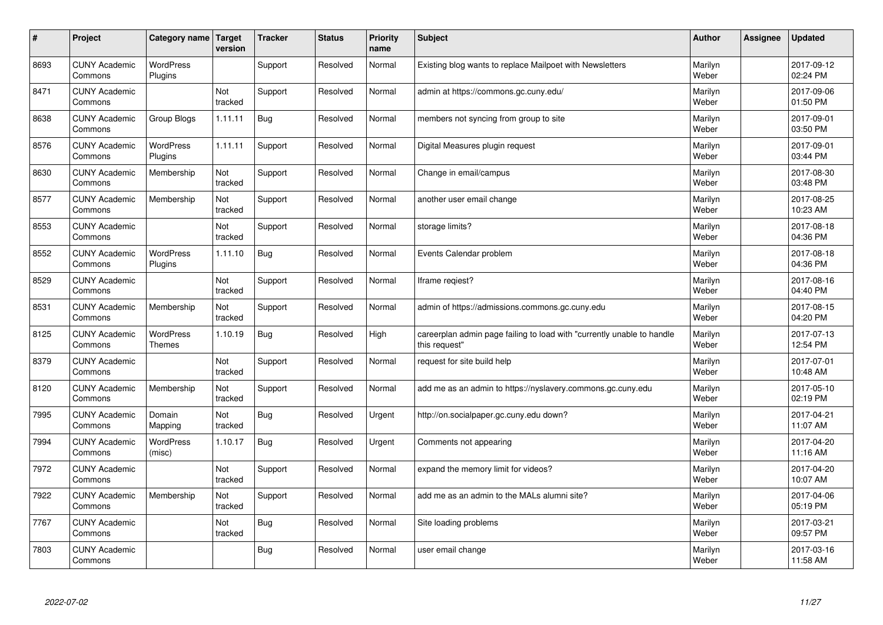| #    | Project                         | Category name   Target            | version        | <b>Tracker</b> | <b>Status</b> | <b>Priority</b><br>name | <b>Subject</b>                                                                          | <b>Author</b>    | Assignee | <b>Updated</b>         |
|------|---------------------------------|-----------------------------------|----------------|----------------|---------------|-------------------------|-----------------------------------------------------------------------------------------|------------------|----------|------------------------|
| 8693 | <b>CUNY Academic</b><br>Commons | <b>WordPress</b><br>Plugins       |                | Support        | Resolved      | Normal                  | Existing blog wants to replace Mailpoet with Newsletters                                | Marilyn<br>Weber |          | 2017-09-12<br>02:24 PM |
| 8471 | <b>CUNY Academic</b><br>Commons |                                   | Not<br>tracked | Support        | Resolved      | Normal                  | admin at https://commons.gc.cuny.edu/                                                   | Marilyn<br>Weber |          | 2017-09-06<br>01:50 PM |
| 8638 | <b>CUNY Academic</b><br>Commons | Group Blogs                       | 1.11.11        | <b>Bug</b>     | Resolved      | Normal                  | members not syncing from group to site                                                  | Marilyn<br>Weber |          | 2017-09-01<br>03:50 PM |
| 8576 | <b>CUNY Academic</b><br>Commons | <b>WordPress</b><br>Plugins       | 1.11.11        | Support        | Resolved      | Normal                  | Digital Measures plugin request                                                         | Marilyn<br>Weber |          | 2017-09-01<br>03:44 PM |
| 8630 | <b>CUNY Academic</b><br>Commons | Membership                        | Not<br>tracked | Support        | Resolved      | Normal                  | Change in email/campus                                                                  | Marilyn<br>Weber |          | 2017-08-30<br>03:48 PM |
| 8577 | <b>CUNY Academic</b><br>Commons | Membership                        | Not<br>tracked | Support        | Resolved      | Normal                  | another user email change                                                               | Marilyn<br>Weber |          | 2017-08-25<br>10:23 AM |
| 8553 | <b>CUNY Academic</b><br>Commons |                                   | Not<br>tracked | Support        | Resolved      | Normal                  | storage limits?                                                                         | Marilyn<br>Weber |          | 2017-08-18<br>04:36 PM |
| 8552 | <b>CUNY Academic</b><br>Commons | WordPress<br>Plugins              | 1.11.10        | Bug            | Resolved      | Normal                  | Events Calendar problem                                                                 | Marilyn<br>Weber |          | 2017-08-18<br>04:36 PM |
| 8529 | <b>CUNY Academic</b><br>Commons |                                   | Not<br>tracked | Support        | Resolved      | Normal                  | Iframe regiest?                                                                         | Marilyn<br>Weber |          | 2017-08-16<br>04:40 PM |
| 8531 | <b>CUNY Academic</b><br>Commons | Membership                        | Not<br>tracked | Support        | Resolved      | Normal                  | admin of https://admissions.commons.gc.cuny.edu                                         | Marilyn<br>Weber |          | 2017-08-15<br>04:20 PM |
| 8125 | <b>CUNY Academic</b><br>Commons | <b>WordPress</b><br><b>Themes</b> | 1.10.19        | Bug            | Resolved      | High                    | careerplan admin page failing to load with "currently unable to handle<br>this request" | Marilyn<br>Weber |          | 2017-07-13<br>12:54 PM |
| 8379 | <b>CUNY Academic</b><br>Commons |                                   | Not<br>tracked | Support        | Resolved      | Normal                  | request for site build help                                                             | Marilyn<br>Weber |          | 2017-07-01<br>10:48 AM |
| 8120 | <b>CUNY Academic</b><br>Commons | Membership                        | Not<br>tracked | Support        | Resolved      | Normal                  | add me as an admin to https://nyslavery.commons.gc.cuny.edu                             | Marilyn<br>Weber |          | 2017-05-10<br>02:19 PM |
| 7995 | <b>CUNY Academic</b><br>Commons | Domain<br>Mapping                 | Not<br>tracked | <b>Bug</b>     | Resolved      | Urgent                  | http://on.socialpaper.gc.cuny.edu down?                                                 | Marilyn<br>Weber |          | 2017-04-21<br>11:07 AM |
| 7994 | <b>CUNY Academic</b><br>Commons | <b>WordPress</b><br>(misc)        | 1.10.17        | Bug            | Resolved      | Urgent                  | Comments not appearing                                                                  | Marilyn<br>Weber |          | 2017-04-20<br>11:16 AM |
| 7972 | <b>CUNY Academic</b><br>Commons |                                   | Not<br>tracked | Support        | Resolved      | Normal                  | expand the memory limit for videos?                                                     | Marilyn<br>Weber |          | 2017-04-20<br>10:07 AM |
| 7922 | <b>CUNY Academic</b><br>Commons | Membership                        | Not<br>tracked | Support        | Resolved      | Normal                  | add me as an admin to the MALs alumni site?                                             | Marilyn<br>Weber |          | 2017-04-06<br>05:19 PM |
| 7767 | <b>CUNY Academic</b><br>Commons |                                   | Not<br>tracked | Bug            | Resolved      | Normal                  | Site loading problems                                                                   | Marilyn<br>Weber |          | 2017-03-21<br>09:57 PM |
| 7803 | <b>CUNY Academic</b><br>Commons |                                   |                | <b>Bug</b>     | Resolved      | Normal                  | user email change                                                                       | Marilyn<br>Weber |          | 2017-03-16<br>11:58 AM |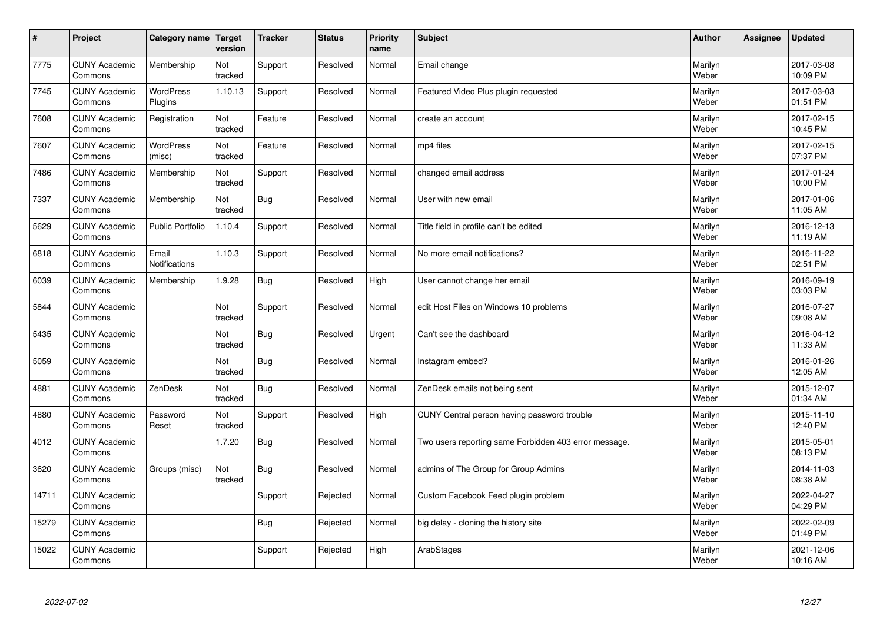| $\vert$ # | Project                         | <b>Category name</b>        | Target<br>version | <b>Tracker</b> | <b>Status</b> | <b>Priority</b><br>name | <b>Subject</b>                                        | <b>Author</b>    | Assignee | <b>Updated</b>         |
|-----------|---------------------------------|-----------------------------|-------------------|----------------|---------------|-------------------------|-------------------------------------------------------|------------------|----------|------------------------|
| 7775      | <b>CUNY Academic</b><br>Commons | Membership                  | Not<br>tracked    | Support        | Resolved      | Normal                  | Email change                                          | Marilyn<br>Weber |          | 2017-03-08<br>10:09 PM |
| 7745      | <b>CUNY Academic</b><br>Commons | <b>WordPress</b><br>Plugins | 1.10.13           | Support        | Resolved      | Normal                  | Featured Video Plus plugin requested                  | Marilyn<br>Weber |          | 2017-03-03<br>01:51 PM |
| 7608      | <b>CUNY Academic</b><br>Commons | Registration                | Not<br>tracked    | Feature        | Resolved      | Normal                  | create an account                                     | Marilyn<br>Weber |          | 2017-02-15<br>10:45 PM |
| 7607      | <b>CUNY Academic</b><br>Commons | <b>WordPress</b><br>(misc)  | Not<br>tracked    | Feature        | Resolved      | Normal                  | mp4 files                                             | Marilyn<br>Weber |          | 2017-02-15<br>07:37 PM |
| 7486      | <b>CUNY Academic</b><br>Commons | Membership                  | Not<br>tracked    | Support        | Resolved      | Normal                  | changed email address                                 | Marilyn<br>Weber |          | 2017-01-24<br>10:00 PM |
| 7337      | <b>CUNY Academic</b><br>Commons | Membership                  | Not<br>tracked    | Bug            | Resolved      | Normal                  | User with new email                                   | Marilyn<br>Weber |          | 2017-01-06<br>11:05 AM |
| 5629      | <b>CUNY Academic</b><br>Commons | <b>Public Portfolio</b>     | 1.10.4            | Support        | Resolved      | Normal                  | Title field in profile can't be edited                | Marilyn<br>Weber |          | 2016-12-13<br>11:19 AM |
| 6818      | <b>CUNY Academic</b><br>Commons | Email<br>Notifications      | 1.10.3            | Support        | Resolved      | Normal                  | No more email notifications?                          | Marilyn<br>Weber |          | 2016-11-22<br>02:51 PM |
| 6039      | <b>CUNY Academic</b><br>Commons | Membership                  | 1.9.28            | <b>Bug</b>     | Resolved      | High                    | User cannot change her email                          | Marilyn<br>Weber |          | 2016-09-19<br>03:03 PM |
| 5844      | <b>CUNY Academic</b><br>Commons |                             | Not<br>tracked    | Support        | Resolved      | Normal                  | edit Host Files on Windows 10 problems                | Marilyn<br>Weber |          | 2016-07-27<br>09:08 AM |
| 5435      | <b>CUNY Academic</b><br>Commons |                             | Not<br>tracked    | Bug            | Resolved      | Urgent                  | Can't see the dashboard                               | Marilyn<br>Weber |          | 2016-04-12<br>11:33 AM |
| 5059      | <b>CUNY Academic</b><br>Commons |                             | Not<br>tracked    | Bug            | Resolved      | Normal                  | Instagram embed?                                      | Marilyn<br>Weber |          | 2016-01-26<br>12:05 AM |
| 4881      | <b>CUNY Academic</b><br>Commons | ZenDesk                     | Not<br>tracked    | Bug            | Resolved      | Normal                  | ZenDesk emails not being sent                         | Marilyn<br>Weber |          | 2015-12-07<br>01:34 AM |
| 4880      | <b>CUNY Academic</b><br>Commons | Password<br>Reset           | Not<br>tracked    | Support        | Resolved      | High                    | CUNY Central person having password trouble           | Marilyn<br>Weber |          | 2015-11-10<br>12:40 PM |
| 4012      | <b>CUNY Academic</b><br>Commons |                             | 1.7.20            | <b>Bug</b>     | Resolved      | Normal                  | Two users reporting same Forbidden 403 error message. | Marilyn<br>Weber |          | 2015-05-01<br>08:13 PM |
| 3620      | <b>CUNY Academic</b><br>Commons | Groups (misc)               | Not<br>tracked    | Bug            | Resolved      | Normal                  | admins of The Group for Group Admins                  | Marilyn<br>Weber |          | 2014-11-03<br>08:38 AM |
| 14711     | <b>CUNY Academic</b><br>Commons |                             |                   | Support        | Rejected      | Normal                  | Custom Facebook Feed plugin problem                   | Marilyn<br>Weber |          | 2022-04-27<br>04:29 PM |
| 15279     | <b>CUNY Academic</b><br>Commons |                             |                   | <b>Bug</b>     | Rejected      | Normal                  | big delay - cloning the history site                  | Marilyn<br>Weber |          | 2022-02-09<br>01:49 PM |
| 15022     | <b>CUNY Academic</b><br>Commons |                             |                   | Support        | Rejected      | High                    | ArabStages                                            | Marilyn<br>Weber |          | 2021-12-06<br>10:16 AM |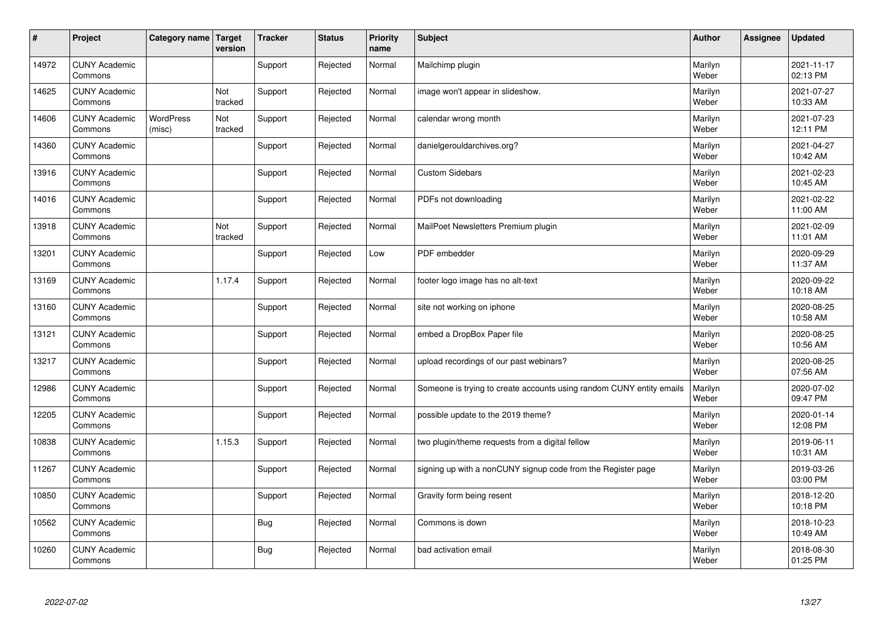| $\vert$ # | Project                         | Category name Target       | version        | <b>Tracker</b> | <b>Status</b> | <b>Priority</b><br>name | <b>Subject</b>                                                       | <b>Author</b>    | Assignee | <b>Updated</b>         |
|-----------|---------------------------------|----------------------------|----------------|----------------|---------------|-------------------------|----------------------------------------------------------------------|------------------|----------|------------------------|
| 14972     | <b>CUNY Academic</b><br>Commons |                            |                | Support        | Rejected      | Normal                  | Mailchimp plugin                                                     | Marilyn<br>Weber |          | 2021-11-17<br>02:13 PM |
| 14625     | <b>CUNY Academic</b><br>Commons |                            | Not<br>tracked | Support        | Rejected      | Normal                  | image won't appear in slideshow.                                     | Marilyn<br>Weber |          | 2021-07-27<br>10:33 AM |
| 14606     | <b>CUNY Academic</b><br>Commons | <b>WordPress</b><br>(misc) | Not<br>tracked | Support        | Rejected      | Normal                  | calendar wrong month                                                 | Marilyn<br>Weber |          | 2021-07-23<br>12:11 PM |
| 14360     | <b>CUNY Academic</b><br>Commons |                            |                | Support        | Rejected      | Normal                  | danielgerouldarchives.org?                                           | Marilyn<br>Weber |          | 2021-04-27<br>10:42 AM |
| 13916     | <b>CUNY Academic</b><br>Commons |                            |                | Support        | Rejected      | Normal                  | <b>Custom Sidebars</b>                                               | Marilyn<br>Weber |          | 2021-02-23<br>10:45 AM |
| 14016     | <b>CUNY Academic</b><br>Commons |                            |                | Support        | Rejected      | Normal                  | PDFs not downloading                                                 | Marilyn<br>Weber |          | 2021-02-22<br>11:00 AM |
| 13918     | <b>CUNY Academic</b><br>Commons |                            | Not<br>tracked | Support        | Rejected      | Normal                  | MailPoet Newsletters Premium plugin                                  | Marilyn<br>Weber |          | 2021-02-09<br>11:01 AM |
| 13201     | <b>CUNY Academic</b><br>Commons |                            |                | Support        | Rejected      | Low                     | PDF embedder                                                         | Marilyn<br>Weber |          | 2020-09-29<br>11:37 AM |
| 13169     | <b>CUNY Academic</b><br>Commons |                            | 1.17.4         | Support        | Rejected      | Normal                  | footer logo image has no alt-text                                    | Marilyn<br>Weber |          | 2020-09-22<br>10:18 AM |
| 13160     | <b>CUNY Academic</b><br>Commons |                            |                | Support        | Rejected      | Normal                  | site not working on iphone                                           | Marilyn<br>Weber |          | 2020-08-25<br>10:58 AM |
| 13121     | <b>CUNY Academic</b><br>Commons |                            |                | Support        | Rejected      | Normal                  | embed a DropBox Paper file                                           | Marilyn<br>Weber |          | 2020-08-25<br>10:56 AM |
| 13217     | <b>CUNY Academic</b><br>Commons |                            |                | Support        | Rejected      | Normal                  | upload recordings of our past webinars?                              | Marilyn<br>Weber |          | 2020-08-25<br>07:56 AM |
| 12986     | <b>CUNY Academic</b><br>Commons |                            |                | Support        | Rejected      | Normal                  | Someone is trying to create accounts using random CUNY entity emails | Marilyn<br>Weber |          | 2020-07-02<br>09:47 PM |
| 12205     | <b>CUNY Academic</b><br>Commons |                            |                | Support        | Rejected      | Normal                  | possible update to the 2019 theme?                                   | Marilyn<br>Weber |          | 2020-01-14<br>12:08 PM |
| 10838     | <b>CUNY Academic</b><br>Commons |                            | 1.15.3         | Support        | Rejected      | Normal                  | two plugin/theme requests from a digital fellow                      | Marilyn<br>Weber |          | 2019-06-11<br>10:31 AM |
| 11267     | <b>CUNY Academic</b><br>Commons |                            |                | Support        | Rejected      | Normal                  | signing up with a nonCUNY signup code from the Register page         | Marilyn<br>Weber |          | 2019-03-26<br>03:00 PM |
| 10850     | <b>CUNY Academic</b><br>Commons |                            |                | Support        | Rejected      | Normal                  | Gravity form being resent                                            | Marilyn<br>Weber |          | 2018-12-20<br>10:18 PM |
| 10562     | <b>CUNY Academic</b><br>Commons |                            |                | Bug            | Rejected      | Normal                  | Commons is down                                                      | Marilyn<br>Weber |          | 2018-10-23<br>10:49 AM |
| 10260     | <b>CUNY Academic</b><br>Commons |                            |                | Bug            | Rejected      | Normal                  | bad activation email                                                 | Marilyn<br>Weber |          | 2018-08-30<br>01:25 PM |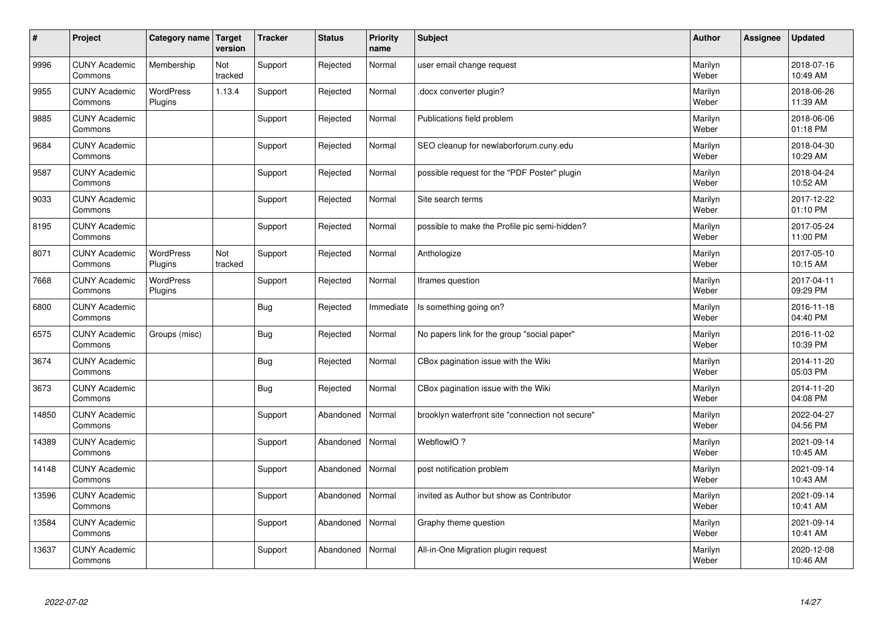| #     | Project                         | Category name   Target      | version        | <b>Tracker</b> | <b>Status</b> | <b>Priority</b><br>name | <b>Subject</b>                                   | <b>Author</b>    | Assignee | <b>Updated</b>         |
|-------|---------------------------------|-----------------------------|----------------|----------------|---------------|-------------------------|--------------------------------------------------|------------------|----------|------------------------|
| 9996  | <b>CUNY Academic</b><br>Commons | Membership                  | Not<br>tracked | Support        | Rejected      | Normal                  | user email change request                        | Marilyn<br>Weber |          | 2018-07-16<br>10:49 AM |
| 9955  | <b>CUNY Academic</b><br>Commons | <b>WordPress</b><br>Plugins | 1.13.4         | Support        | Rejected      | Normal                  | docx converter plugin?                           | Marilyn<br>Weber |          | 2018-06-26<br>11:39 AM |
| 9885  | <b>CUNY Academic</b><br>Commons |                             |                | Support        | Rejected      | Normal                  | Publications field problem                       | Marilyn<br>Weber |          | 2018-06-06<br>01:18 PM |
| 9684  | <b>CUNY Academic</b><br>Commons |                             |                | Support        | Rejected      | Normal                  | SEO cleanup for newlaborforum.cuny.edu           | Marilyn<br>Weber |          | 2018-04-30<br>10:29 AM |
| 9587  | <b>CUNY Academic</b><br>Commons |                             |                | Support        | Rejected      | Normal                  | possible request for the "PDF Poster" plugin     | Marilyn<br>Weber |          | 2018-04-24<br>10:52 AM |
| 9033  | <b>CUNY Academic</b><br>Commons |                             |                | Support        | Rejected      | Normal                  | Site search terms                                | Marilyn<br>Weber |          | 2017-12-22<br>01:10 PM |
| 8195  | <b>CUNY Academic</b><br>Commons |                             |                | Support        | Rejected      | Normal                  | possible to make the Profile pic semi-hidden?    | Marilyn<br>Weber |          | 2017-05-24<br>11:00 PM |
| 8071  | <b>CUNY Academic</b><br>Commons | WordPress<br>Plugins        | Not<br>tracked | Support        | Rejected      | Normal                  | Anthologize                                      | Marilyn<br>Weber |          | 2017-05-10<br>10:15 AM |
| 7668  | <b>CUNY Academic</b><br>Commons | WordPress<br>Plugins        |                | Support        | Rejected      | Normal                  | Iframes question                                 | Marilyn<br>Weber |          | 2017-04-11<br>09:29 PM |
| 6800  | <b>CUNY Academic</b><br>Commons |                             |                | <b>Bug</b>     | Rejected      | Immediate               | Is something going on?                           | Marilyn<br>Weber |          | 2016-11-18<br>04:40 PM |
| 6575  | <b>CUNY Academic</b><br>Commons | Groups (misc)               |                | Bug            | Rejected      | Normal                  | No papers link for the group "social paper"      | Marilyn<br>Weber |          | 2016-11-02<br>10:39 PM |
| 3674  | <b>CUNY Academic</b><br>Commons |                             |                | <b>Bug</b>     | Rejected      | Normal                  | CBox pagination issue with the Wiki              | Marilyn<br>Weber |          | 2014-11-20<br>05:03 PM |
| 3673  | <b>CUNY Academic</b><br>Commons |                             |                | Bug            | Rejected      | Normal                  | CBox pagination issue with the Wiki              | Marilyn<br>Weber |          | 2014-11-20<br>04:08 PM |
| 14850 | <b>CUNY Academic</b><br>Commons |                             |                | Support        | Abandoned     | Normal                  | brooklyn waterfront site "connection not secure" | Marilyn<br>Weber |          | 2022-04-27<br>04:56 PM |
| 14389 | <b>CUNY Academic</b><br>Commons |                             |                | Support        | Abandoned     | Normal                  | WebflowIO?                                       | Marilyn<br>Weber |          | 2021-09-14<br>10:45 AM |
| 14148 | <b>CUNY Academic</b><br>Commons |                             |                | Support        | Abandoned     | Normal                  | post notification problem                        | Marilyn<br>Weber |          | 2021-09-14<br>10:43 AM |
| 13596 | <b>CUNY Academic</b><br>Commons |                             |                | Support        | Abandoned     | Normal                  | invited as Author but show as Contributor        | Marilyn<br>Weber |          | 2021-09-14<br>10:41 AM |
| 13584 | <b>CUNY Academic</b><br>Commons |                             |                | Support        | Abandoned     | Normal                  | Graphy theme question                            | Marilyn<br>Weber |          | 2021-09-14<br>10:41 AM |
| 13637 | <b>CUNY Academic</b><br>Commons |                             |                | Support        | Abandoned     | Normal                  | All-in-One Migration plugin request              | Marilyn<br>Weber |          | 2020-12-08<br>10:46 AM |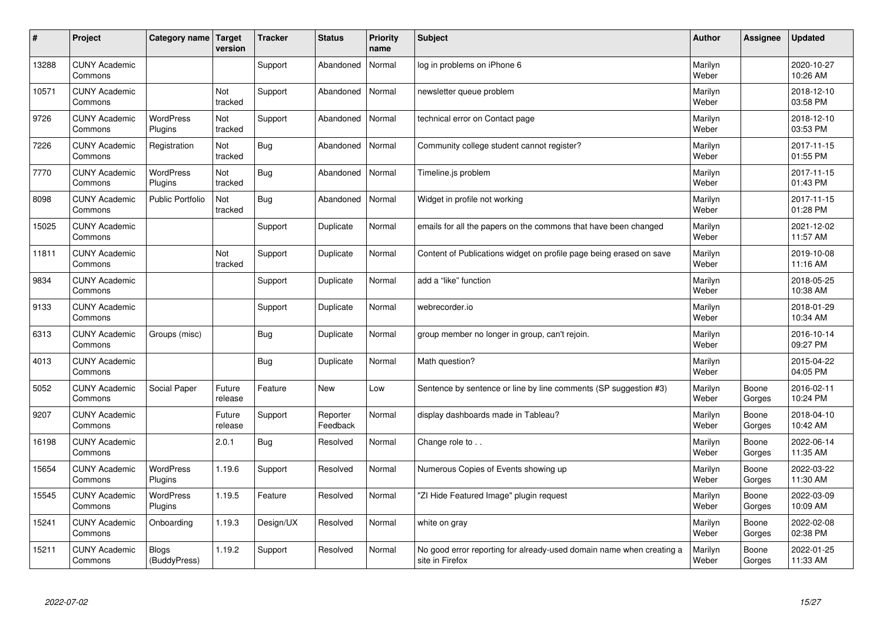| #     | Project                         | Category name   Target       | version           | <b>Tracker</b> | <b>Status</b>        | <b>Priority</b><br>name | <b>Subject</b>                                                                          | <b>Author</b>    | Assignee        | <b>Updated</b>         |
|-------|---------------------------------|------------------------------|-------------------|----------------|----------------------|-------------------------|-----------------------------------------------------------------------------------------|------------------|-----------------|------------------------|
| 13288 | <b>CUNY Academic</b><br>Commons |                              |                   | Support        | Abandoned            | Normal                  | log in problems on iPhone 6                                                             | Marilyn<br>Weber |                 | 2020-10-27<br>10:26 AM |
| 10571 | <b>CUNY Academic</b><br>Commons |                              | Not<br>tracked    | Support        | Abandoned            | Normal                  | newsletter queue problem                                                                | Marilyn<br>Weber |                 | 2018-12-10<br>03:58 PM |
| 9726  | <b>CUNY Academic</b><br>Commons | <b>WordPress</b><br>Plugins  | Not<br>tracked    | Support        | Abandoned            | Normal                  | technical error on Contact page                                                         | Marilyn<br>Weber |                 | 2018-12-10<br>03:53 PM |
| 7226  | <b>CUNY Academic</b><br>Commons | Registration                 | Not<br>tracked    | Bug            | Abandoned            | Normal                  | Community college student cannot register?                                              | Marilyn<br>Weber |                 | 2017-11-15<br>01:55 PM |
| 7770  | <b>CUNY Academic</b><br>Commons | <b>WordPress</b><br>Plugins  | Not<br>tracked    | Bug            | Abandoned            | Normal                  | Timeline.js problem                                                                     | Marilyn<br>Weber |                 | 2017-11-15<br>01:43 PM |
| 8098  | <b>CUNY Academic</b><br>Commons | <b>Public Portfolio</b>      | Not<br>tracked    | Bug            | Abandoned            | Normal                  | Widget in profile not working                                                           | Marilyn<br>Weber |                 | 2017-11-15<br>01:28 PM |
| 15025 | <b>CUNY Academic</b><br>Commons |                              |                   | Support        | Duplicate            | Normal                  | emails for all the papers on the commons that have been changed                         | Marilyn<br>Weber |                 | 2021-12-02<br>11:57 AM |
| 11811 | <b>CUNY Academic</b><br>Commons |                              | Not<br>tracked    | Support        | Duplicate            | Normal                  | Content of Publications widget on profile page being erased on save                     | Marilyn<br>Weber |                 | 2019-10-08<br>11:16 AM |
| 9834  | <b>CUNY Academic</b><br>Commons |                              |                   | Support        | Duplicate            | Normal                  | add a "like" function                                                                   | Marilyn<br>Weber |                 | 2018-05-25<br>10:38 AM |
| 9133  | <b>CUNY Academic</b><br>Commons |                              |                   | Support        | Duplicate            | Normal                  | webrecorder.io                                                                          | Marilyn<br>Weber |                 | 2018-01-29<br>10:34 AM |
| 6313  | <b>CUNY Academic</b><br>Commons | Groups (misc)                |                   | <b>Bug</b>     | Duplicate            | Normal                  | group member no longer in group, can't rejoin.                                          | Marilyn<br>Weber |                 | 2016-10-14<br>09:27 PM |
| 4013  | <b>CUNY Academic</b><br>Commons |                              |                   | Bug            | Duplicate            | Normal                  | Math question?                                                                          | Marilyn<br>Weber |                 | 2015-04-22<br>04:05 PM |
| 5052  | <b>CUNY Academic</b><br>Commons | Social Paper                 | Future<br>release | Feature        | <b>New</b>           | Low                     | Sentence by sentence or line by line comments (SP suggestion #3)                        | Marilyn<br>Weber | Boone<br>Gorges | 2016-02-11<br>10:24 PM |
| 9207  | <b>CUNY Academic</b><br>Commons |                              | Future<br>release | Support        | Reporter<br>Feedback | Normal                  | display dashboards made in Tableau?                                                     | Marilyn<br>Weber | Boone<br>Gorges | 2018-04-10<br>10:42 AM |
| 16198 | <b>CUNY Academic</b><br>Commons |                              | 2.0.1             | Bug            | Resolved             | Normal                  | Change role to                                                                          | Marilyn<br>Weber | Boone<br>Gorges | 2022-06-14<br>11:35 AM |
| 15654 | <b>CUNY Academic</b><br>Commons | WordPress<br>Plugins         | 1.19.6            | Support        | Resolved             | Normal                  | Numerous Copies of Events showing up                                                    | Marilyn<br>Weber | Boone<br>Gorges | 2022-03-22<br>11:30 AM |
| 15545 | <b>CUNY Academic</b><br>Commons | <b>WordPress</b><br>Plugins  | 1.19.5            | Feature        | Resolved             | Normal                  | "ZI Hide Featured Image" plugin request                                                 | Marilyn<br>Weber | Boone<br>Gorges | 2022-03-09<br>10:09 AM |
| 15241 | <b>CUNY Academic</b><br>Commons | Onboarding                   | 1.19.3            | Design/UX      | Resolved             | Normal                  | white on gray                                                                           | Marilyn<br>Weber | Boone<br>Gorges | 2022-02-08<br>02:38 PM |
| 15211 | <b>CUNY Academic</b><br>Commons | <b>Blogs</b><br>(BuddyPress) | 1.19.2            | Support        | Resolved             | Normal                  | No good error reporting for already-used domain name when creating a<br>site in Firefox | Marilyn<br>Weber | Boone<br>Gorges | 2022-01-25<br>11:33 AM |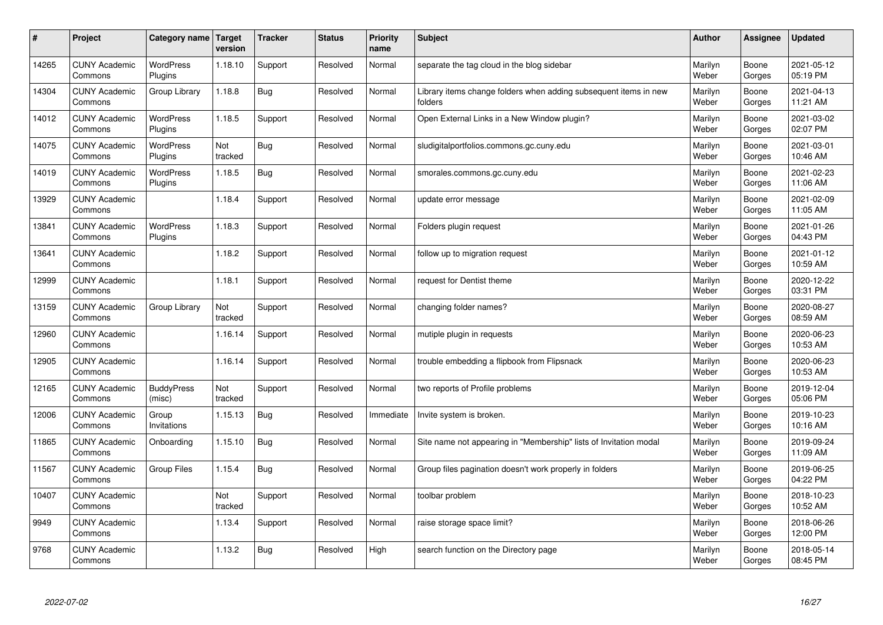| $\sharp$ | Project                         | Category name               | Target<br>version | <b>Tracker</b> | <b>Status</b> | <b>Priority</b><br>name | <b>Subject</b>                                                              | <b>Author</b>    | Assignee        | <b>Updated</b>         |
|----------|---------------------------------|-----------------------------|-------------------|----------------|---------------|-------------------------|-----------------------------------------------------------------------------|------------------|-----------------|------------------------|
| 14265    | <b>CUNY Academic</b><br>Commons | <b>WordPress</b><br>Plugins | 1.18.10           | Support        | Resolved      | Normal                  | separate the tag cloud in the blog sidebar                                  | Marilyn<br>Weber | Boone<br>Gorges | 2021-05-12<br>05:19 PM |
| 14304    | <b>CUNY Academic</b><br>Commons | Group Library               | 1.18.8            | Bug            | Resolved      | Normal                  | Library items change folders when adding subsequent items in new<br>folders | Marilyn<br>Weber | Boone<br>Gorges | 2021-04-13<br>11:21 AM |
| 14012    | <b>CUNY Academic</b><br>Commons | <b>WordPress</b><br>Plugins | 1.18.5            | Support        | Resolved      | Normal                  | Open External Links in a New Window plugin?                                 | Marilyn<br>Weber | Boone<br>Gorges | 2021-03-02<br>02:07 PM |
| 14075    | <b>CUNY Academic</b><br>Commons | <b>WordPress</b><br>Plugins | Not<br>tracked    | Bug            | Resolved      | Normal                  | sludigitalportfolios.commons.gc.cuny.edu                                    | Marilyn<br>Weber | Boone<br>Gorges | 2021-03-01<br>10:46 AM |
| 14019    | <b>CUNY Academic</b><br>Commons | <b>WordPress</b><br>Plugins | 1.18.5            | Bug            | Resolved      | Normal                  | smorales.commons.gc.cuny.edu                                                | Marilyn<br>Weber | Boone<br>Gorges | 2021-02-23<br>11:06 AM |
| 13929    | <b>CUNY Academic</b><br>Commons |                             | 1.18.4            | Support        | Resolved      | Normal                  | update error message                                                        | Marilyn<br>Weber | Boone<br>Gorges | 2021-02-09<br>11:05 AM |
| 13841    | <b>CUNY Academic</b><br>Commons | <b>WordPress</b><br>Plugins | 1.18.3            | Support        | Resolved      | Normal                  | Folders plugin request                                                      | Marilyn<br>Weber | Boone<br>Gorges | 2021-01-26<br>04:43 PM |
| 13641    | <b>CUNY Academic</b><br>Commons |                             | 1.18.2            | Support        | Resolved      | Normal                  | follow up to migration request                                              | Marilyn<br>Weber | Boone<br>Gorges | 2021-01-12<br>10:59 AM |
| 12999    | <b>CUNY Academic</b><br>Commons |                             | 1.18.1            | Support        | Resolved      | Normal                  | request for Dentist theme                                                   | Marilyn<br>Weber | Boone<br>Gorges | 2020-12-22<br>03:31 PM |
| 13159    | <b>CUNY Academic</b><br>Commons | Group Library               | Not<br>tracked    | Support        | Resolved      | Normal                  | changing folder names?                                                      | Marilyn<br>Weber | Boone<br>Gorges | 2020-08-27<br>08:59 AM |
| 12960    | <b>CUNY Academic</b><br>Commons |                             | 1.16.14           | Support        | Resolved      | Normal                  | mutiple plugin in requests                                                  | Marilyn<br>Weber | Boone<br>Gorges | 2020-06-23<br>10:53 AM |
| 12905    | <b>CUNY Academic</b><br>Commons |                             | 1.16.14           | Support        | Resolved      | Normal                  | trouble embedding a flipbook from Flipsnack                                 | Marilyn<br>Weber | Boone<br>Gorges | 2020-06-23<br>10:53 AM |
| 12165    | <b>CUNY Academic</b><br>Commons | <b>BuddyPress</b><br>(misc) | Not<br>tracked    | Support        | Resolved      | Normal                  | two reports of Profile problems                                             | Marilyn<br>Weber | Boone<br>Gorges | 2019-12-04<br>05:06 PM |
| 12006    | <b>CUNY Academic</b><br>Commons | Group<br>Invitations        | 1.15.13           | Bug            | Resolved      | Immediate               | Invite system is broken.                                                    | Marilyn<br>Weber | Boone<br>Gorges | 2019-10-23<br>10:16 AM |
| 11865    | <b>CUNY Academic</b><br>Commons | Onboarding                  | 1.15.10           | Bug            | Resolved      | Normal                  | Site name not appearing in "Membership" lists of Invitation modal           | Marilyn<br>Weber | Boone<br>Gorges | 2019-09-24<br>11:09 AM |
| 11567    | <b>CUNY Academic</b><br>Commons | <b>Group Files</b>          | 1.15.4            | Bug            | Resolved      | Normal                  | Group files pagination doesn't work properly in folders                     | Marilyn<br>Weber | Boone<br>Gorges | 2019-06-25<br>04:22 PM |
| 10407    | <b>CUNY Academic</b><br>Commons |                             | Not<br>tracked    | Support        | Resolved      | Normal                  | toolbar problem                                                             | Marilyn<br>Weber | Boone<br>Gorges | 2018-10-23<br>10:52 AM |
| 9949     | <b>CUNY Academic</b><br>Commons |                             | 1.13.4            | Support        | Resolved      | Normal                  | raise storage space limit?                                                  | Marilyn<br>Weber | Boone<br>Gorges | 2018-06-26<br>12:00 PM |
| 9768     | <b>CUNY Academic</b><br>Commons |                             | 1.13.2            | <b>Bug</b>     | Resolved      | High                    | search function on the Directory page                                       | Marilyn<br>Weber | Boone<br>Gorges | 2018-05-14<br>08:45 PM |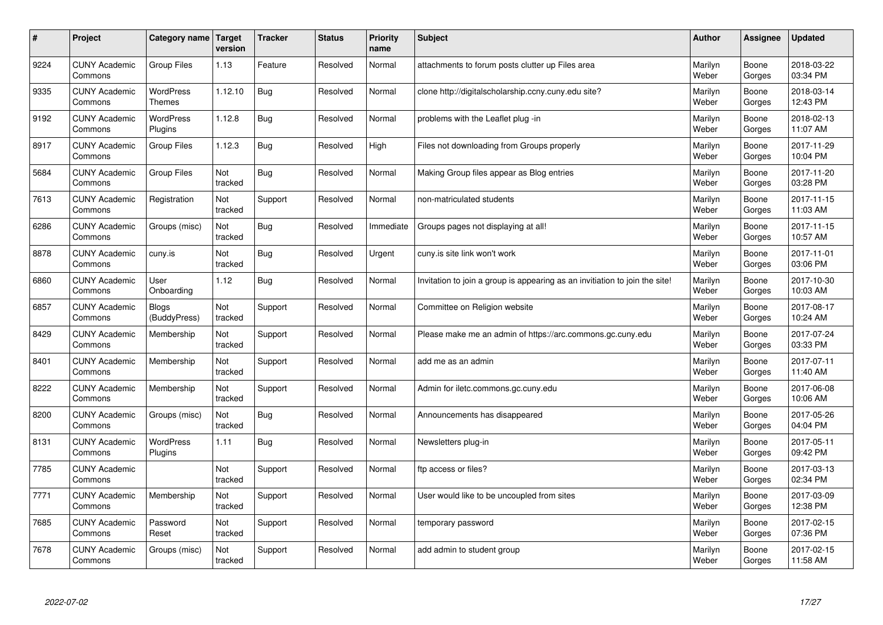| $\sharp$ | Project                         | Category name   Target       | version        | <b>Tracker</b> | <b>Status</b> | <b>Priority</b><br>name | <b>Subject</b>                                                              | <b>Author</b>    | Assignee        | <b>Updated</b>         |
|----------|---------------------------------|------------------------------|----------------|----------------|---------------|-------------------------|-----------------------------------------------------------------------------|------------------|-----------------|------------------------|
| 9224     | <b>CUNY Academic</b><br>Commons | <b>Group Files</b>           | 1.13           | Feature        | Resolved      | Normal                  | attachments to forum posts clutter up Files area                            | Marilyn<br>Weber | Boone<br>Gorges | 2018-03-22<br>03:34 PM |
| 9335     | <b>CUNY Academic</b><br>Commons | <b>WordPress</b><br>Themes   | 1.12.10        | Bug            | Resolved      | Normal                  | clone http://digitalscholarship.ccny.cuny.edu site?                         | Marilyn<br>Weber | Boone<br>Gorges | 2018-03-14<br>12:43 PM |
| 9192     | <b>CUNY Academic</b><br>Commons | <b>WordPress</b><br>Plugins  | 1.12.8         | Bug            | Resolved      | Normal                  | problems with the Leaflet plug -in                                          | Marilyn<br>Weber | Boone<br>Gorges | 2018-02-13<br>11:07 AM |
| 8917     | <b>CUNY Academic</b><br>Commons | <b>Group Files</b>           | 1.12.3         | Bug            | Resolved      | High                    | Files not downloading from Groups properly                                  | Marilyn<br>Weber | Boone<br>Gorges | 2017-11-29<br>10:04 PM |
| 5684     | <b>CUNY Academic</b><br>Commons | <b>Group Files</b>           | Not<br>tracked | Bug            | Resolved      | Normal                  | Making Group files appear as Blog entries                                   | Marilyn<br>Weber | Boone<br>Gorges | 2017-11-20<br>03:28 PM |
| 7613     | <b>CUNY Academic</b><br>Commons | Registration                 | Not<br>tracked | Support        | Resolved      | Normal                  | non-matriculated students                                                   | Marilyn<br>Weber | Boone<br>Gorges | 2017-11-15<br>11:03 AM |
| 6286     | <b>CUNY Academic</b><br>Commons | Groups (misc)                | Not<br>tracked | Bug            | Resolved      | Immediate               | Groups pages not displaying at all!                                         | Marilyn<br>Weber | Boone<br>Gorges | 2017-11-15<br>10:57 AM |
| 8878     | <b>CUNY Academic</b><br>Commons | cuny.is                      | Not<br>tracked | Bug            | Resolved      | Urgent                  | cuny.is site link won't work                                                | Marilyn<br>Weber | Boone<br>Gorges | 2017-11-01<br>03:06 PM |
| 6860     | <b>CUNY Academic</b><br>Commons | User<br>Onboarding           | 1.12           | Bug            | Resolved      | Normal                  | Invitation to join a group is appearing as an invitiation to join the site! | Marilyn<br>Weber | Boone<br>Gorges | 2017-10-30<br>10:03 AM |
| 6857     | <b>CUNY Academic</b><br>Commons | <b>Blogs</b><br>(BuddyPress) | Not<br>tracked | Support        | Resolved      | Normal                  | Committee on Religion website                                               | Marilyn<br>Weber | Boone<br>Gorges | 2017-08-17<br>10:24 AM |
| 8429     | <b>CUNY Academic</b><br>Commons | Membership                   | Not<br>tracked | Support        | Resolved      | Normal                  | Please make me an admin of https://arc.commons.gc.cuny.edu                  | Marilyn<br>Weber | Boone<br>Gorges | 2017-07-24<br>03:33 PM |
| 8401     | <b>CUNY Academic</b><br>Commons | Membership                   | Not<br>tracked | Support        | Resolved      | Normal                  | add me as an admin                                                          | Marilyn<br>Weber | Boone<br>Gorges | 2017-07-11<br>11:40 AM |
| 8222     | <b>CUNY Academic</b><br>Commons | Membership                   | Not<br>tracked | Support        | Resolved      | Normal                  | Admin for iletc.commons.gc.cuny.edu                                         | Marilyn<br>Weber | Boone<br>Gorges | 2017-06-08<br>10:06 AM |
| 8200     | <b>CUNY Academic</b><br>Commons | Groups (misc)                | Not<br>tracked | Bug            | Resolved      | Normal                  | Announcements has disappeared                                               | Marilyn<br>Weber | Boone<br>Gorges | 2017-05-26<br>04:04 PM |
| 8131     | <b>CUNY Academic</b><br>Commons | <b>WordPress</b><br>Plugins  | 1.11           | Bug            | Resolved      | Normal                  | Newsletters plug-in                                                         | Marilyn<br>Weber | Boone<br>Gorges | 2017-05-11<br>09:42 PM |
| 7785     | <b>CUNY Academic</b><br>Commons |                              | Not<br>tracked | Support        | Resolved      | Normal                  | ftp access or files?                                                        | Marilyn<br>Weber | Boone<br>Gorges | 2017-03-13<br>02:34 PM |
| 7771     | <b>CUNY Academic</b><br>Commons | Membership                   | Not<br>tracked | Support        | Resolved      | Normal                  | User would like to be uncoupled from sites                                  | Marilyn<br>Weber | Boone<br>Gorges | 2017-03-09<br>12:38 PM |
| 7685     | <b>CUNY Academic</b><br>Commons | Password<br>Reset            | Not<br>tracked | Support        | Resolved      | Normal                  | temporary password                                                          | Marilyn<br>Weber | Boone<br>Gorges | 2017-02-15<br>07:36 PM |
| 7678     | <b>CUNY Academic</b><br>Commons | Groups (misc)                | Not<br>tracked | Support        | Resolved      | Normal                  | add admin to student group                                                  | Marilyn<br>Weber | Boone<br>Gorges | 2017-02-15<br>11:58 AM |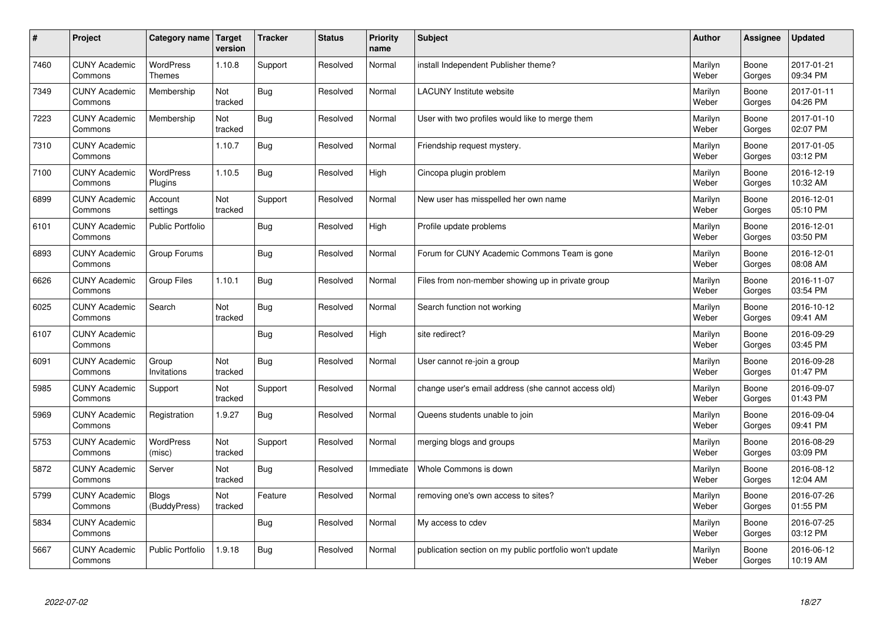| $\vert$ # | Project                         | Category name                | <b>Target</b><br>version | <b>Tracker</b> | <b>Status</b> | <b>Priority</b><br>name | <b>Subject</b>                                          | <b>Author</b>    | <b>Assignee</b> | <b>Updated</b>         |
|-----------|---------------------------------|------------------------------|--------------------------|----------------|---------------|-------------------------|---------------------------------------------------------|------------------|-----------------|------------------------|
| 7460      | <b>CUNY Academic</b><br>Commons | <b>WordPress</b><br>Themes   | 1.10.8                   | Support        | Resolved      | Normal                  | install Independent Publisher theme?                    | Marilyn<br>Weber | Boone<br>Gorges | 2017-01-21<br>09:34 PM |
| 7349      | <b>CUNY Academic</b><br>Commons | Membership                   | Not<br>tracked           | <b>Bug</b>     | Resolved      | Normal                  | <b>LACUNY</b> Institute website                         | Marilyn<br>Weber | Boone<br>Gorges | 2017-01-11<br>04:26 PM |
| 7223      | <b>CUNY Academic</b><br>Commons | Membership                   | Not<br>tracked           | <b>Bug</b>     | Resolved      | Normal                  | User with two profiles would like to merge them         | Marilyn<br>Weber | Boone<br>Gorges | 2017-01-10<br>02:07 PM |
| 7310      | <b>CUNY Academic</b><br>Commons |                              | 1.10.7                   | Bug            | Resolved      | Normal                  | Friendship request mystery.                             | Marilyn<br>Weber | Boone<br>Gorges | 2017-01-05<br>03:12 PM |
| 7100      | <b>CUNY Academic</b><br>Commons | <b>WordPress</b><br>Plugins  | 1.10.5                   | Bug            | Resolved      | High                    | Cincopa plugin problem                                  | Marilyn<br>Weber | Boone<br>Gorges | 2016-12-19<br>10:32 AM |
| 6899      | <b>CUNY Academic</b><br>Commons | Account<br>settings          | Not<br>tracked           | Support        | Resolved      | Normal                  | New user has misspelled her own name                    | Marilyn<br>Weber | Boone<br>Gorges | 2016-12-01<br>05:10 PM |
| 6101      | <b>CUNY Academic</b><br>Commons | Public Portfolio             |                          | Bug            | Resolved      | High                    | Profile update problems                                 | Marilyn<br>Weber | Boone<br>Gorges | 2016-12-01<br>03:50 PM |
| 6893      | <b>CUNY Academic</b><br>Commons | Group Forums                 |                          | Bug            | Resolved      | Normal                  | Forum for CUNY Academic Commons Team is gone            | Marilyn<br>Weber | Boone<br>Gorges | 2016-12-01<br>08:08 AM |
| 6626      | <b>CUNY Academic</b><br>Commons | <b>Group Files</b>           | 1.10.1                   | Bug            | Resolved      | Normal                  | Files from non-member showing up in private group       | Marilyn<br>Weber | Boone<br>Gorges | 2016-11-07<br>03:54 PM |
| 6025      | <b>CUNY Academic</b><br>Commons | Search                       | Not<br>tracked           | <b>Bug</b>     | Resolved      | Normal                  | Search function not working                             | Marilyn<br>Weber | Boone<br>Gorges | 2016-10-12<br>09:41 AM |
| 6107      | <b>CUNY Academic</b><br>Commons |                              |                          | Bug            | Resolved      | High                    | site redirect?                                          | Marilyn<br>Weber | Boone<br>Gorges | 2016-09-29<br>03:45 PM |
| 6091      | <b>CUNY Academic</b><br>Commons | Group<br>Invitations         | Not<br>tracked           | <b>Bug</b>     | Resolved      | Normal                  | User cannot re-join a group                             | Marilyn<br>Weber | Boone<br>Gorges | 2016-09-28<br>01:47 PM |
| 5985      | <b>CUNY Academic</b><br>Commons | Support                      | Not<br>tracked           | Support        | Resolved      | Normal                  | change user's email address (she cannot access old)     | Marilyn<br>Weber | Boone<br>Gorges | 2016-09-07<br>01:43 PM |
| 5969      | <b>CUNY Academic</b><br>Commons | Registration                 | 1.9.27                   | Bug            | Resolved      | Normal                  | Queens students unable to join                          | Marilyn<br>Weber | Boone<br>Gorges | 2016-09-04<br>09:41 PM |
| 5753      | <b>CUNY Academic</b><br>Commons | <b>WordPress</b><br>(misc)   | Not<br>tracked           | Support        | Resolved      | Normal                  | merging blogs and groups                                | Marilyn<br>Weber | Boone<br>Gorges | 2016-08-29<br>03:09 PM |
| 5872      | <b>CUNY Academic</b><br>Commons | Server                       | Not<br>tracked           | Bug            | Resolved      | Immediate               | Whole Commons is down                                   | Marilyn<br>Weber | Boone<br>Gorges | 2016-08-12<br>12:04 AM |
| 5799      | <b>CUNY Academic</b><br>Commons | <b>Blogs</b><br>(BuddyPress) | Not<br>tracked           | Feature        | Resolved      | Normal                  | removing one's own access to sites?                     | Marilyn<br>Weber | Boone<br>Gorges | 2016-07-26<br>01:55 PM |
| 5834      | <b>CUNY Academic</b><br>Commons |                              |                          | Bug            | Resolved      | Normal                  | My access to cdev                                       | Marilyn<br>Weber | Boone<br>Gorges | 2016-07-25<br>03:12 PM |
| 5667      | <b>CUNY Academic</b><br>Commons | <b>Public Portfolio</b>      | .9.18                    | Bug            | Resolved      | Normal                  | publication section on my public portfolio won't update | Marilyn<br>Weber | Boone<br>Gorges | 2016-06-12<br>10:19 AM |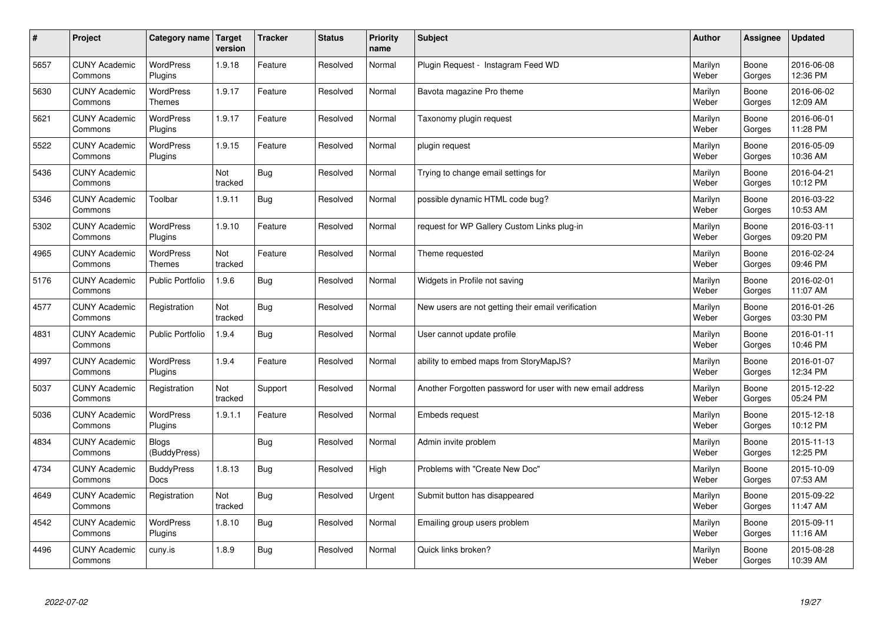| $\sharp$ | Project                         | Category name                     | <b>Target</b><br>version | <b>Tracker</b> | <b>Status</b> | <b>Priority</b><br>name | <b>Subject</b>                                             | <b>Author</b>    | Assignee        | <b>Updated</b>         |
|----------|---------------------------------|-----------------------------------|--------------------------|----------------|---------------|-------------------------|------------------------------------------------------------|------------------|-----------------|------------------------|
| 5657     | <b>CUNY Academic</b><br>Commons | <b>WordPress</b><br>Plugins       | 1.9.18                   | Feature        | Resolved      | Normal                  | Plugin Request - Instagram Feed WD                         | Marilyn<br>Weber | Boone<br>Gorges | 2016-06-08<br>12:36 PM |
| 5630     | <b>CUNY Academic</b><br>Commons | <b>WordPress</b><br><b>Themes</b> | 1.9.17                   | Feature        | Resolved      | Normal                  | Bavota magazine Pro theme                                  | Marilyn<br>Weber | Boone<br>Gorges | 2016-06-02<br>12:09 AM |
| 5621     | <b>CUNY Academic</b><br>Commons | WordPress<br>Plugins              | 1.9.17                   | Feature        | Resolved      | Normal                  | Taxonomy plugin request                                    | Marilyn<br>Weber | Boone<br>Gorges | 2016-06-01<br>11:28 PM |
| 5522     | <b>CUNY Academic</b><br>Commons | <b>WordPress</b><br>Plugins       | 1.9.15                   | Feature        | Resolved      | Normal                  | plugin request                                             | Marilyn<br>Weber | Boone<br>Gorges | 2016-05-09<br>10:36 AM |
| 5436     | <b>CUNY Academic</b><br>Commons |                                   | Not<br>tracked           | <b>Bug</b>     | Resolved      | Normal                  | Trying to change email settings for                        | Marilyn<br>Weber | Boone<br>Gorges | 2016-04-21<br>10:12 PM |
| 5346     | <b>CUNY Academic</b><br>Commons | Toolbar                           | 1.9.11                   | Bug            | Resolved      | Normal                  | possible dynamic HTML code bug?                            | Marilyn<br>Weber | Boone<br>Gorges | 2016-03-22<br>10:53 AM |
| 5302     | <b>CUNY Academic</b><br>Commons | WordPress<br>Plugins              | 1.9.10                   | Feature        | Resolved      | Normal                  | request for WP Gallery Custom Links plug-in                | Marilyn<br>Weber | Boone<br>Gorges | 2016-03-11<br>09:20 PM |
| 4965     | <b>CUNY Academic</b><br>Commons | WordPress<br><b>Themes</b>        | Not<br>tracked           | Feature        | Resolved      | Normal                  | Theme requested                                            | Marilyn<br>Weber | Boone<br>Gorges | 2016-02-24<br>09:46 PM |
| 5176     | <b>CUNY Academic</b><br>Commons | Public Portfolio                  | 1.9.6                    | Bug            | Resolved      | Normal                  | Widgets in Profile not saving                              | Marilyn<br>Weber | Boone<br>Gorges | 2016-02-01<br>11:07 AM |
| 4577     | <b>CUNY Academic</b><br>Commons | Registration                      | Not<br>tracked           | Bug            | Resolved      | Normal                  | New users are not getting their email verification         | Marilyn<br>Weber | Boone<br>Gorges | 2016-01-26<br>03:30 PM |
| 4831     | <b>CUNY Academic</b><br>Commons | <b>Public Portfolio</b>           | 1.9.4                    | Bug            | Resolved      | Normal                  | User cannot update profile                                 | Marilyn<br>Weber | Boone<br>Gorges | 2016-01-11<br>10:46 PM |
| 4997     | <b>CUNY Academic</b><br>Commons | <b>WordPress</b><br>Plugins       | 1.9.4                    | Feature        | Resolved      | Normal                  | ability to embed maps from StoryMapJS?                     | Marilyn<br>Weber | Boone<br>Gorges | 2016-01-07<br>12:34 PM |
| 5037     | <b>CUNY Academic</b><br>Commons | Registration                      | Not<br>tracked           | Support        | Resolved      | Normal                  | Another Forgotten password for user with new email address | Marilyn<br>Weber | Boone<br>Gorges | 2015-12-22<br>05:24 PM |
| 5036     | <b>CUNY Academic</b><br>Commons | <b>WordPress</b><br>Plugins       | 1.9.1.1                  | Feature        | Resolved      | Normal                  | <b>Embeds request</b>                                      | Marilyn<br>Weber | Boone<br>Gorges | 2015-12-18<br>10:12 PM |
| 4834     | <b>CUNY Academic</b><br>Commons | <b>Blogs</b><br>(BuddyPress)      |                          | Bug            | Resolved      | Normal                  | Admin invite problem                                       | Marilyn<br>Weber | Boone<br>Gorges | 2015-11-13<br>12:25 PM |
| 4734     | <b>CUNY Academic</b><br>Commons | <b>BuddyPress</b><br><b>Docs</b>  | 1.8.13                   | Bug            | Resolved      | High                    | Problems with "Create New Doc"                             | Marilyn<br>Weber | Boone<br>Gorges | 2015-10-09<br>07:53 AM |
| 4649     | <b>CUNY Academic</b><br>Commons | Registration                      | Not<br>tracked           | Bug            | Resolved      | Urgent                  | Submit button has disappeared                              | Marilyn<br>Weber | Boone<br>Gorges | 2015-09-22<br>11:47 AM |
| 4542     | <b>CUNY Academic</b><br>Commons | <b>WordPress</b><br>Plugins       | 1.8.10                   | Bug            | Resolved      | Normal                  | Emailing group users problem                               | Marilyn<br>Weber | Boone<br>Gorges | 2015-09-11<br>11:16 AM |
| 4496     | <b>CUNY Academic</b><br>Commons | cuny.is                           | 1.8.9                    | Bug            | Resolved      | Normal                  | Quick links broken?                                        | Marilyn<br>Weber | Boone<br>Gorges | 2015-08-28<br>10:39 AM |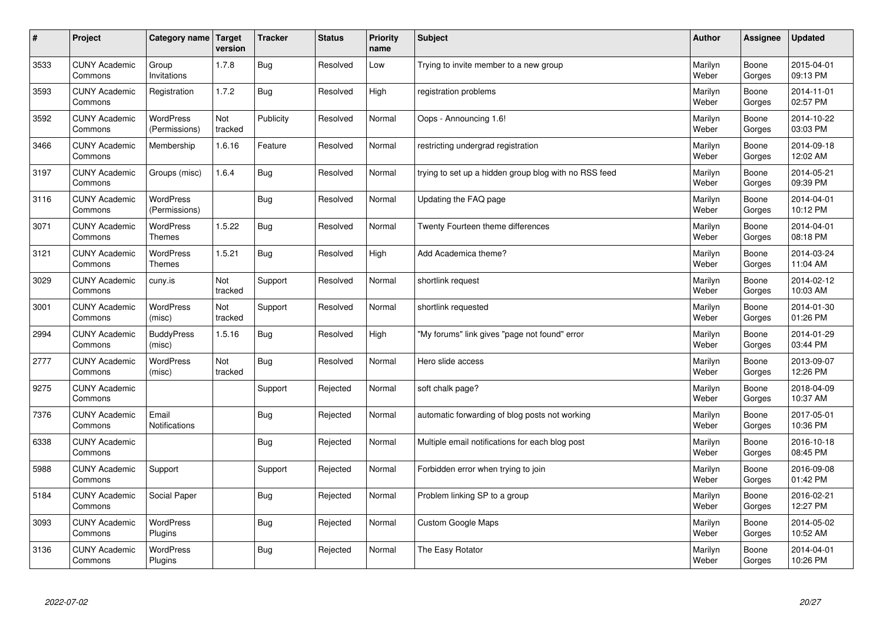| $\sharp$ | Project                         | Category name   Target            | version        | <b>Tracker</b> | <b>Status</b> | Priority<br>name | <b>Subject</b>                                        | <b>Author</b>    | <b>Assignee</b> | <b>Updated</b>         |
|----------|---------------------------------|-----------------------------------|----------------|----------------|---------------|------------------|-------------------------------------------------------|------------------|-----------------|------------------------|
| 3533     | <b>CUNY Academic</b><br>Commons | Group<br>Invitations              | 1.7.8          | <b>Bug</b>     | Resolved      | Low              | Trying to invite member to a new group                | Marilyn<br>Weber | Boone<br>Gorges | 2015-04-01<br>09:13 PM |
| 3593     | <b>CUNY Academic</b><br>Commons | Registration                      | 1.7.2          | Bug            | Resolved      | High             | registration problems                                 | Marilyn<br>Weber | Boone<br>Gorges | 2014-11-01<br>02:57 PM |
| 3592     | <b>CUNY Academic</b><br>Commons | <b>WordPress</b><br>(Permissions) | Not<br>tracked | Publicity      | Resolved      | Normal           | Oops - Announcing 1.6!                                | Marilyn<br>Weber | Boone<br>Gorges | 2014-10-22<br>03:03 PM |
| 3466     | <b>CUNY Academic</b><br>Commons | Membership                        | 1.6.16         | Feature        | Resolved      | Normal           | restricting undergrad registration                    | Marilyn<br>Weber | Boone<br>Gorges | 2014-09-18<br>12:02 AM |
| 3197     | <b>CUNY Academic</b><br>Commons | Groups (misc)                     | 1.6.4          | Bug            | Resolved      | Normal           | trying to set up a hidden group blog with no RSS feed | Marilyn<br>Weber | Boone<br>Gorges | 2014-05-21<br>09:39 PM |
| 3116     | <b>CUNY Academic</b><br>Commons | <b>WordPress</b><br>(Permissions) |                | Bug            | Resolved      | Normal           | Updating the FAQ page                                 | Marilyn<br>Weber | Boone<br>Gorges | 2014-04-01<br>10:12 PM |
| 3071     | <b>CUNY Academic</b><br>Commons | WordPress<br><b>Themes</b>        | 1.5.22         | Bug            | Resolved      | Normal           | Twenty Fourteen theme differences                     | Marilyn<br>Weber | Boone<br>Gorges | 2014-04-01<br>08:18 PM |
| 3121     | <b>CUNY Academic</b><br>Commons | WordPress<br><b>Themes</b>        | 1.5.21         | Bug            | Resolved      | High             | Add Academica theme?                                  | Marilyn<br>Weber | Boone<br>Gorges | 2014-03-24<br>11:04 AM |
| 3029     | <b>CUNY Academic</b><br>Commons | cuny.is                           | Not<br>tracked | Support        | Resolved      | Normal           | shortlink request                                     | Marilyn<br>Weber | Boone<br>Gorges | 2014-02-12<br>10:03 AM |
| 3001     | <b>CUNY Academic</b><br>Commons | <b>WordPress</b><br>(misc)        | Not<br>tracked | Support        | Resolved      | Normal           | shortlink requested                                   | Marilyn<br>Weber | Boone<br>Gorges | 2014-01-30<br>01:26 PM |
| 2994     | <b>CUNY Academic</b><br>Commons | <b>BuddyPress</b><br>(misc)       | 1.5.16         | <b>Bug</b>     | Resolved      | High             | "My forums" link gives "page not found" error         | Marilyn<br>Weber | Boone<br>Gorges | 2014-01-29<br>03:44 PM |
| 2777     | <b>CUNY Academic</b><br>Commons | <b>WordPress</b><br>(misc)        | Not<br>tracked | Bug            | Resolved      | Normal           | Hero slide access                                     | Marilyn<br>Weber | Boone<br>Gorges | 2013-09-07<br>12:26 PM |
| 9275     | <b>CUNY Academic</b><br>Commons |                                   |                | Support        | Rejected      | Normal           | soft chalk page?                                      | Marilyn<br>Weber | Boone<br>Gorges | 2018-04-09<br>10:37 AM |
| 7376     | <b>CUNY Academic</b><br>Commons | Email<br>Notifications            |                | Bug            | Rejected      | Normal           | automatic forwarding of blog posts not working        | Marilyn<br>Weber | Boone<br>Gorges | 2017-05-01<br>10:36 PM |
| 6338     | <b>CUNY Academic</b><br>Commons |                                   |                | Bug            | Rejected      | Normal           | Multiple email notifications for each blog post       | Marilyn<br>Weber | Boone<br>Gorges | 2016-10-18<br>08:45 PM |
| 5988     | <b>CUNY Academic</b><br>Commons | Support                           |                | Support        | Rejected      | Normal           | Forbidden error when trying to join                   | Marilyn<br>Weber | Boone<br>Gorges | 2016-09-08<br>01:42 PM |
| 5184     | <b>CUNY Academic</b><br>Commons | Social Paper                      |                | Bug            | Rejected      | Normal           | Problem linking SP to a group                         | Marilyn<br>Weber | Boone<br>Gorges | 2016-02-21<br>12:27 PM |
| 3093     | <b>CUNY Academic</b><br>Commons | WordPress<br>Plugins              |                | Bug            | Rejected      | Normal           | Custom Google Maps                                    | Marilyn<br>Weber | Boone<br>Gorges | 2014-05-02<br>10:52 AM |
| 3136     | <b>CUNY Academic</b><br>Commons | WordPress<br>Plugins              |                | <b>Bug</b>     | Rejected      | Normal           | The Easy Rotator                                      | Marilyn<br>Weber | Boone<br>Gorges | 2014-04-01<br>10:26 PM |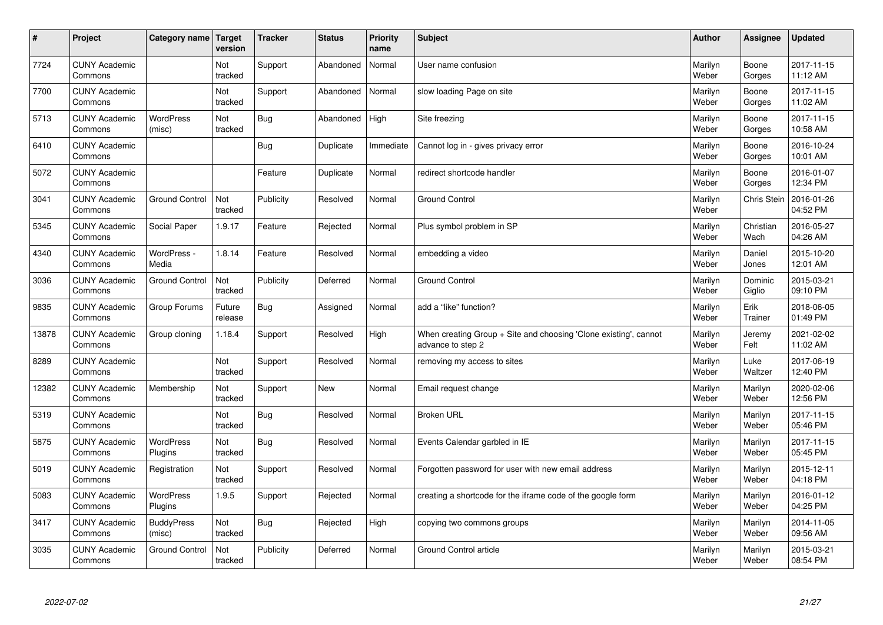| $\vert$ # | Project                         | Category name   Target      | version           | <b>Tracker</b> | <b>Status</b> | <b>Priority</b><br>name | <b>Subject</b>                                                                        | <b>Author</b>    | <b>Assignee</b>   | <b>Updated</b>         |
|-----------|---------------------------------|-----------------------------|-------------------|----------------|---------------|-------------------------|---------------------------------------------------------------------------------------|------------------|-------------------|------------------------|
| 7724      | <b>CUNY Academic</b><br>Commons |                             | Not<br>tracked    | Support        | Abandoned     | Normal                  | User name confusion                                                                   | Marilyn<br>Weber | Boone<br>Gorges   | 2017-11-15<br>11:12 AM |
| 7700      | <b>CUNY Academic</b><br>Commons |                             | Not<br>tracked    | Support        | Abandoned     | Normal                  | slow loading Page on site                                                             | Marilyn<br>Weber | Boone<br>Gorges   | 2017-11-15<br>11:02 AM |
| 5713      | <b>CUNY Academic</b><br>Commons | WordPress<br>(misc)         | Not<br>tracked    | <b>Bug</b>     | Abandoned     | High                    | Site freezing                                                                         | Marilyn<br>Weber | Boone<br>Gorges   | 2017-11-15<br>10:58 AM |
| 6410      | <b>CUNY Academic</b><br>Commons |                             |                   | Bug            | Duplicate     | Immediate               | Cannot log in - gives privacy error                                                   | Marilyn<br>Weber | Boone<br>Gorges   | 2016-10-24<br>10:01 AM |
| 5072      | <b>CUNY Academic</b><br>Commons |                             |                   | Feature        | Duplicate     | Normal                  | redirect shortcode handler                                                            | Marilyn<br>Weber | Boone<br>Gorges   | 2016-01-07<br>12:34 PM |
| 3041      | <b>CUNY Academic</b><br>Commons | <b>Ground Control</b>       | Not<br>tracked    | Publicity      | Resolved      | Normal                  | <b>Ground Control</b>                                                                 | Marilyn<br>Weber | Chris Stein       | 2016-01-26<br>04:52 PM |
| 5345      | <b>CUNY Academic</b><br>Commons | Social Paper                | 1.9.17            | Feature        | Rejected      | Normal                  | Plus symbol problem in SP                                                             | Marilyn<br>Weber | Christian<br>Wach | 2016-05-27<br>04:26 AM |
| 4340      | <b>CUNY Academic</b><br>Commons | WordPress -<br>Media        | 1.8.14            | Feature        | Resolved      | Normal                  | embedding a video                                                                     | Marilyn<br>Weber | Daniel<br>Jones   | 2015-10-20<br>12:01 AM |
| 3036      | <b>CUNY Academic</b><br>Commons | <b>Ground Control</b>       | Not<br>tracked    | Publicity      | Deferred      | Normal                  | <b>Ground Control</b>                                                                 | Marilyn<br>Weber | Dominic<br>Giglio | 2015-03-21<br>09:10 PM |
| 9835      | <b>CUNY Academic</b><br>Commons | Group Forums                | Future<br>release | <b>Bug</b>     | Assigned      | Normal                  | add a "like" function?                                                                | Marilyn<br>Weber | Erik<br>Trainer   | 2018-06-05<br>01:49 PM |
| 13878     | <b>CUNY Academic</b><br>Commons | Group cloning               | 1.18.4            | Support        | Resolved      | High                    | When creating Group + Site and choosing 'Clone existing', cannot<br>advance to step 2 | Marilyn<br>Weber | Jeremy<br>Felt    | 2021-02-02<br>11:02 AM |
| 8289      | <b>CUNY Academic</b><br>Commons |                             | Not<br>tracked    | Support        | Resolved      | Normal                  | removing my access to sites                                                           | Marilyn<br>Weber | Luke<br>Waltzer   | 2017-06-19<br>12:40 PM |
| 12382     | <b>CUNY Academic</b><br>Commons | Membership                  | Not<br>tracked    | Support        | New           | Normal                  | Email request change                                                                  | Marilyn<br>Weber | Marilyn<br>Weber  | 2020-02-06<br>12:56 PM |
| 5319      | <b>CUNY Academic</b><br>Commons |                             | Not<br>tracked    | <b>Bug</b>     | Resolved      | Normal                  | Broken URL                                                                            | Marilyn<br>Weber | Marilyn<br>Weber  | 2017-11-15<br>05:46 PM |
| 5875      | <b>CUNY Academic</b><br>Commons | <b>WordPress</b><br>Plugins | Not<br>tracked    | Bug            | Resolved      | Normal                  | Events Calendar garbled in IE                                                         | Marilyn<br>Weber | Marilyn<br>Weber  | 2017-11-15<br>05:45 PM |
| 5019      | <b>CUNY Academic</b><br>Commons | Registration                | Not<br>tracked    | Support        | Resolved      | Normal                  | Forgotten password for user with new email address                                    | Marilyn<br>Weber | Marilyn<br>Weber  | 2015-12-11<br>04:18 PM |
| 5083      | <b>CUNY Academic</b><br>Commons | WordPress<br>Plugins        | 1.9.5             | Support        | Rejected      | Normal                  | creating a shortcode for the iframe code of the google form                           | Marilyn<br>Weber | Marilyn<br>Weber  | 2016-01-12<br>04:25 PM |
| 3417      | <b>CUNY Academic</b><br>Commons | <b>BuddyPress</b><br>(misc) | Not<br>tracked    | <b>Bug</b>     | Rejected      | High                    | copying two commons groups                                                            | Marilyn<br>Weber | Marilyn<br>Weber  | 2014-11-05<br>09:56 AM |
| 3035      | <b>CUNY Academic</b><br>Commons | <b>Ground Control</b>       | Not<br>tracked    | Publicity      | Deferred      | Normal                  | <b>Ground Control article</b>                                                         | Marilyn<br>Weber | Marilyn<br>Weber  | 2015-03-21<br>08:54 PM |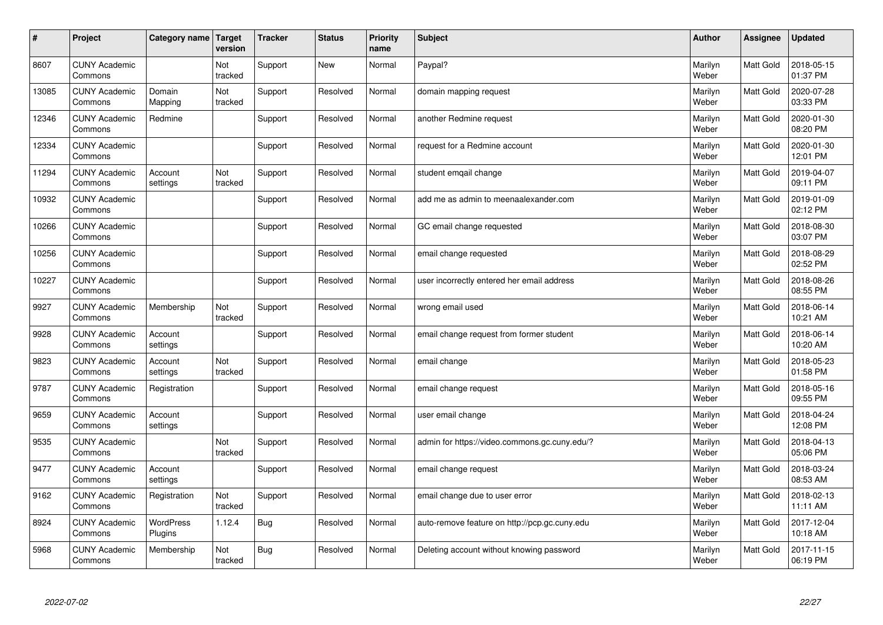| $\vert$ # | Project                         | Category name        | <b>Target</b><br>version | <b>Tracker</b> | <b>Status</b> | <b>Priority</b><br>name | <b>Subject</b>                                | <b>Author</b>    | <b>Assignee</b>  | <b>Updated</b>         |
|-----------|---------------------------------|----------------------|--------------------------|----------------|---------------|-------------------------|-----------------------------------------------|------------------|------------------|------------------------|
| 8607      | <b>CUNY Academic</b><br>Commons |                      | Not<br>tracked           | Support        | <b>New</b>    | Normal                  | Paypal?                                       | Marilyn<br>Weber | <b>Matt Gold</b> | 2018-05-15<br>01:37 PM |
| 13085     | <b>CUNY Academic</b><br>Commons | Domain<br>Mapping    | Not<br>tracked           | Support        | Resolved      | Normal                  | domain mapping request                        | Marilyn<br>Weber | Matt Gold        | 2020-07-28<br>03:33 PM |
| 12346     | <b>CUNY Academic</b><br>Commons | Redmine              |                          | Support        | Resolved      | Normal                  | another Redmine request                       | Marilyn<br>Weber | <b>Matt Gold</b> | 2020-01-30<br>08:20 PM |
| 12334     | <b>CUNY Academic</b><br>Commons |                      |                          | Support        | Resolved      | Normal                  | request for a Redmine account                 | Marilyn<br>Weber | Matt Gold        | 2020-01-30<br>12:01 PM |
| 11294     | <b>CUNY Academic</b><br>Commons | Account<br>settings  | Not<br>tracked           | Support        | Resolved      | Normal                  | student emgail change                         | Marilyn<br>Weber | Matt Gold        | 2019-04-07<br>09:11 PM |
| 10932     | <b>CUNY Academic</b><br>Commons |                      |                          | Support        | Resolved      | Normal                  | add me as admin to meenaalexander.com         | Marilyn<br>Weber | Matt Gold        | 2019-01-09<br>02:12 PM |
| 10266     | <b>CUNY Academic</b><br>Commons |                      |                          | Support        | Resolved      | Normal                  | GC email change requested                     | Marilyn<br>Weber | Matt Gold        | 2018-08-30<br>03:07 PM |
| 10256     | <b>CUNY Academic</b><br>Commons |                      |                          | Support        | Resolved      | Normal                  | email change requested                        | Marilyn<br>Weber | Matt Gold        | 2018-08-29<br>02:52 PM |
| 10227     | <b>CUNY Academic</b><br>Commons |                      |                          | Support        | Resolved      | Normal                  | user incorrectly entered her email address    | Marilyn<br>Weber | <b>Matt Gold</b> | 2018-08-26<br>08:55 PM |
| 9927      | <b>CUNY Academic</b><br>Commons | Membership           | Not<br>tracked           | Support        | Resolved      | Normal                  | wrong email used                              | Marilyn<br>Weber | <b>Matt Gold</b> | 2018-06-14<br>10:21 AM |
| 9928      | <b>CUNY Academic</b><br>Commons | Account<br>settings  |                          | Support        | Resolved      | Normal                  | email change request from former student      | Marilyn<br>Weber | Matt Gold        | 2018-06-14<br>10:20 AM |
| 9823      | <b>CUNY Academic</b><br>Commons | Account<br>settings  | Not<br>tracked           | Support        | Resolved      | Normal                  | email change                                  | Marilyn<br>Weber | Matt Gold        | 2018-05-23<br>01:58 PM |
| 9787      | <b>CUNY Academic</b><br>Commons | Registration         |                          | Support        | Resolved      | Normal                  | email change request                          | Marilyn<br>Weber | <b>Matt Gold</b> | 2018-05-16<br>09:55 PM |
| 9659      | <b>CUNY Academic</b><br>Commons | Account<br>settings  |                          | Support        | Resolved      | Normal                  | user email change                             | Marilyn<br>Weber | Matt Gold        | 2018-04-24<br>12:08 PM |
| 9535      | <b>CUNY Academic</b><br>Commons |                      | Not<br>tracked           | Support        | Resolved      | Normal                  | admin for https://video.commons.gc.cuny.edu/? | Marilyn<br>Weber | Matt Gold        | 2018-04-13<br>05:06 PM |
| 9477      | <b>CUNY Academic</b><br>Commons | Account<br>settings  |                          | Support        | Resolved      | Normal                  | email change request                          | Marilyn<br>Weber | <b>Matt Gold</b> | 2018-03-24<br>08:53 AM |
| 9162      | <b>CUNY Academic</b><br>Commons | Registration         | Not<br>tracked           | Support        | Resolved      | Normal                  | email change due to user error                | Marilyn<br>Weber | Matt Gold        | 2018-02-13<br>11:11 AM |
| 8924      | <b>CUNY Academic</b><br>Commons | WordPress<br>Plugins | 1.12.4                   | Bug            | Resolved      | Normal                  | auto-remove feature on http://pcp.gc.cuny.edu | Marilyn<br>Weber | Matt Gold        | 2017-12-04<br>10:18 AM |
| 5968      | <b>CUNY Academic</b><br>Commons | Membership           | Not<br>tracked           | Bug            | Resolved      | Normal                  | Deleting account without knowing password     | Marilyn<br>Weber | Matt Gold        | 2017-11-15<br>06:19 PM |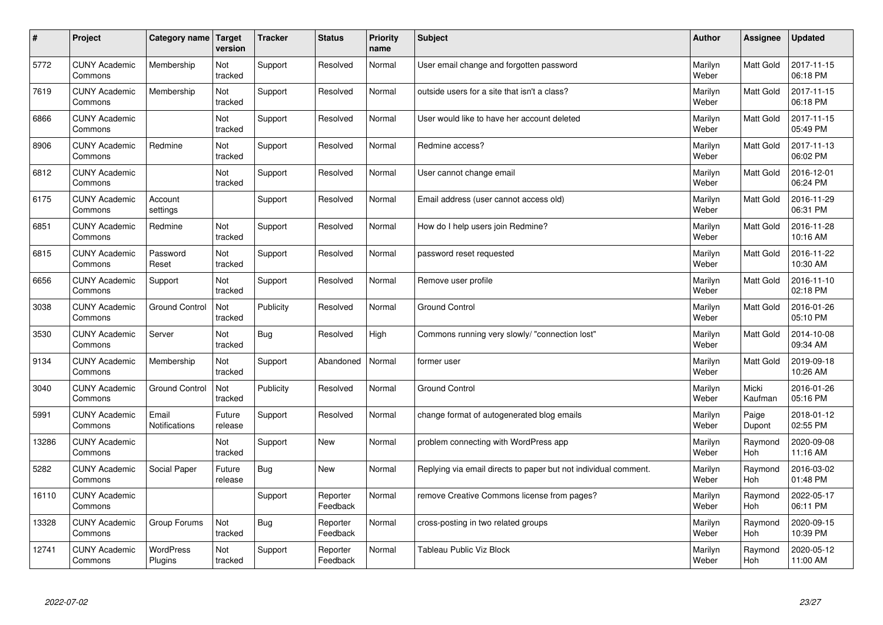| #     | Project                         | Category name                 | <b>Target</b><br>version | <b>Tracker</b> | <b>Status</b>        | <b>Priority</b><br>name | <b>Subject</b>                                                  | <b>Author</b>    | Assignee         | <b>Updated</b>         |
|-------|---------------------------------|-------------------------------|--------------------------|----------------|----------------------|-------------------------|-----------------------------------------------------------------|------------------|------------------|------------------------|
| 5772  | <b>CUNY Academic</b><br>Commons | Membership                    | Not<br>tracked           | Support        | Resolved             | Normal                  | User email change and forgotten password                        | Marilyn<br>Weber | Matt Gold        | 2017-11-15<br>06:18 PM |
| 7619  | <b>CUNY Academic</b><br>Commons | Membership                    | Not<br>tracked           | Support        | Resolved             | Normal                  | outside users for a site that isn't a class?                    | Marilyn<br>Weber | <b>Matt Gold</b> | 2017-11-15<br>06:18 PM |
| 6866  | <b>CUNY Academic</b><br>Commons |                               | Not<br>tracked           | Support        | Resolved             | Normal                  | User would like to have her account deleted                     | Marilyn<br>Weber | <b>Matt Gold</b> | 2017-11-15<br>05:49 PM |
| 8906  | <b>CUNY Academic</b><br>Commons | Redmine                       | Not<br>tracked           | Support        | Resolved             | Normal                  | Redmine access?                                                 | Marilyn<br>Weber | Matt Gold        | 2017-11-13<br>06:02 PM |
| 6812  | <b>CUNY Academic</b><br>Commons |                               | Not<br>tracked           | Support        | Resolved             | Normal                  | User cannot change email                                        | Marilyn<br>Weber | <b>Matt Gold</b> | 2016-12-01<br>06:24 PM |
| 6175  | <b>CUNY Academic</b><br>Commons | Account<br>settings           |                          | Support        | Resolved             | Normal                  | Email address (user cannot access old)                          | Marilyn<br>Weber | <b>Matt Gold</b> | 2016-11-29<br>06:31 PM |
| 6851  | <b>CUNY Academic</b><br>Commons | Redmine                       | Not<br>tracked           | Support        | Resolved             | Normal                  | How do I help users join Redmine?                               | Marilyn<br>Weber | <b>Matt Gold</b> | 2016-11-28<br>10:16 AM |
| 6815  | <b>CUNY Academic</b><br>Commons | Password<br>Reset             | Not<br>tracked           | Support        | Resolved             | Normal                  | password reset requested                                        | Marilyn<br>Weber | Matt Gold        | 2016-11-22<br>10:30 AM |
| 6656  | <b>CUNY Academic</b><br>Commons | Support                       | Not<br>tracked           | Support        | Resolved             | Normal                  | Remove user profile                                             | Marilyn<br>Weber | <b>Matt Gold</b> | 2016-11-10<br>02:18 PM |
| 3038  | <b>CUNY Academic</b><br>Commons | <b>Ground Control</b>         | Not<br>tracked           | Publicity      | Resolved             | Normal                  | <b>Ground Control</b>                                           | Marilyn<br>Weber | Matt Gold        | 2016-01-26<br>05:10 PM |
| 3530  | <b>CUNY Academic</b><br>Commons | Server                        | Not<br>tracked           | <b>Bug</b>     | Resolved             | High                    | Commons running very slowly/ "connection lost"                  | Marilyn<br>Weber | Matt Gold        | 2014-10-08<br>09:34 AM |
| 9134  | <b>CUNY Academic</b><br>Commons | Membership                    | Not<br>tracked           | Support        | Abandoned            | Normal                  | former user                                                     | Marilyn<br>Weber | Matt Gold        | 2019-09-18<br>10:26 AM |
| 3040  | <b>CUNY Academic</b><br>Commons | <b>Ground Control</b>         | Not<br>tracked           | Publicity      | Resolved             | Normal                  | <b>Ground Control</b>                                           | Marilyn<br>Weber | Micki<br>Kaufman | 2016-01-26<br>05:16 PM |
| 5991  | <b>CUNY Academic</b><br>Commons | Email<br><b>Notifications</b> | Future<br>release        | Support        | Resolved             | Normal                  | change format of autogenerated blog emails                      | Marilyn<br>Weber | Paige<br>Dupont  | 2018-01-12<br>02:55 PM |
| 13286 | <b>CUNY Academic</b><br>Commons |                               | Not<br>tracked           | Support        | <b>New</b>           | Normal                  | problem connecting with WordPress app                           | Marilyn<br>Weber | Raymond<br>Hoh   | 2020-09-08<br>11:16 AM |
| 5282  | <b>CUNY Academic</b><br>Commons | Social Paper                  | Future<br>release        | Bug            | <b>New</b>           | Normal                  | Replying via email directs to paper but not individual comment. | Marilyn<br>Weber | Raymond<br>Hoh   | 2016-03-02<br>01:48 PM |
| 16110 | <b>CUNY Academic</b><br>Commons |                               |                          | Support        | Reporter<br>Feedback | Normal                  | remove Creative Commons license from pages?                     | Marilyn<br>Weber | Raymond<br>Hoh   | 2022-05-17<br>06:11 PM |
| 13328 | <b>CUNY Academic</b><br>Commons | Group Forums                  | Not<br>tracked           | <b>Bug</b>     | Reporter<br>Feedback | Normal                  | cross-posting in two related groups                             | Marilyn<br>Weber | Raymond<br>Hoh   | 2020-09-15<br>10:39 PM |
| 12741 | <b>CUNY Academic</b><br>Commons | <b>WordPress</b><br>Plugins   | Not<br>tracked           | Support        | Reporter<br>Feedback | Normal                  | Tableau Public Viz Block                                        | Marilyn<br>Weber | Raymond<br>Hoh   | 2020-05-12<br>11:00 AM |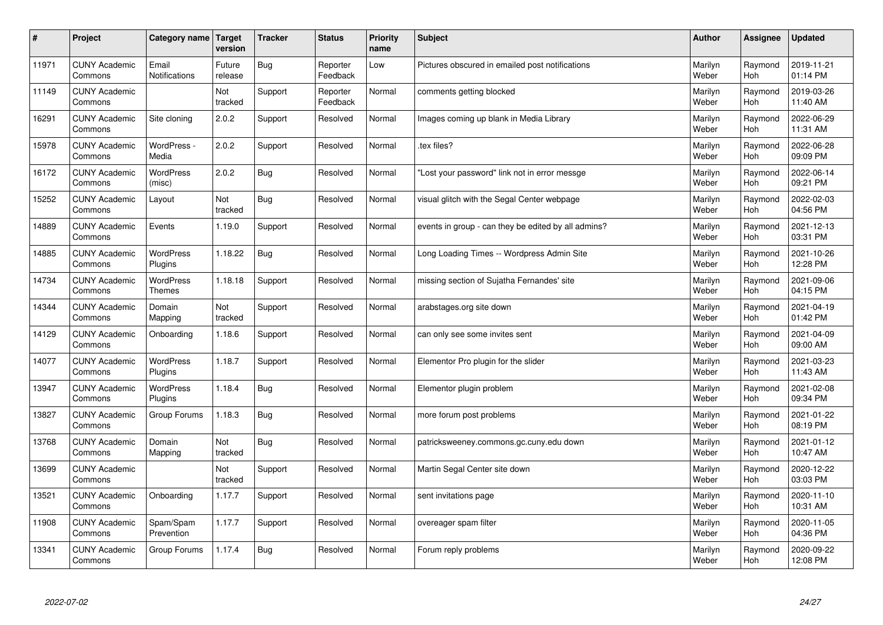| $\vert$ # | Project                         | Category name   Target        | version           | <b>Tracker</b> | <b>Status</b>        | <b>Priority</b><br>name | <b>Subject</b>                                      | <b>Author</b>    | Assignee              | <b>Updated</b>         |
|-----------|---------------------------------|-------------------------------|-------------------|----------------|----------------------|-------------------------|-----------------------------------------------------|------------------|-----------------------|------------------------|
| 11971     | <b>CUNY Academic</b><br>Commons | Email<br><b>Notifications</b> | Future<br>release | <b>Bug</b>     | Reporter<br>Feedback | Low                     | Pictures obscured in emailed post notifications     | Marilyn<br>Weber | Raymond<br><b>Hoh</b> | 2019-11-21<br>01:14 PM |
| 11149     | <b>CUNY Academic</b><br>Commons |                               | Not<br>tracked    | Support        | Reporter<br>Feedback | Normal                  | comments getting blocked                            | Marilyn<br>Weber | Raymond<br>Hoh        | 2019-03-26<br>11:40 AM |
| 16291     | <b>CUNY Academic</b><br>Commons | Site cloning                  | 2.0.2             | Support        | Resolved             | Normal                  | Images coming up blank in Media Library             | Marilyn<br>Weber | Raymond<br>Hoh        | 2022-06-29<br>11:31 AM |
| 15978     | <b>CUNY Academic</b><br>Commons | WordPress -<br>Media          | 2.0.2             | Support        | Resolved             | Normal                  | tex files?                                          | Marilyn<br>Weber | Raymond<br><b>Hoh</b> | 2022-06-28<br>09:09 PM |
| 16172     | <b>CUNY Academic</b><br>Commons | <b>WordPress</b><br>(misc)    | 2.0.2             | Bug            | Resolved             | Normal                  | 'Lost your password" link not in error messge       | Marilyn<br>Weber | Raymond<br><b>Hoh</b> | 2022-06-14<br>09:21 PM |
| 15252     | <b>CUNY Academic</b><br>Commons | Layout                        | Not<br>tracked    | Bug            | Resolved             | Normal                  | visual glitch with the Segal Center webpage         | Marilyn<br>Weber | Raymond<br><b>Hoh</b> | 2022-02-03<br>04:56 PM |
| 14889     | <b>CUNY Academic</b><br>Commons | Events                        | 1.19.0            | Support        | Resolved             | Normal                  | events in group - can they be edited by all admins? | Marilyn<br>Weber | Raymond<br><b>Hoh</b> | 2021-12-13<br>03:31 PM |
| 14885     | <b>CUNY Academic</b><br>Commons | WordPress<br>Plugins          | 1.18.22           | Bug            | Resolved             | Normal                  | Long Loading Times -- Wordpress Admin Site          | Marilyn<br>Weber | Raymond<br>Hoh        | 2021-10-26<br>12:28 PM |
| 14734     | <b>CUNY Academic</b><br>Commons | WordPress<br><b>Themes</b>    | 1.18.18           | Support        | Resolved             | Normal                  | missing section of Sujatha Fernandes' site          | Marilyn<br>Weber | Raymond<br>Hoh        | 2021-09-06<br>04:15 PM |
| 14344     | <b>CUNY Academic</b><br>Commons | Domain<br>Mapping             | Not<br>tracked    | Support        | Resolved             | Normal                  | arabstages.org site down                            | Marilyn<br>Weber | Raymond<br>Hoh        | 2021-04-19<br>01:42 PM |
| 14129     | <b>CUNY Academic</b><br>Commons | Onboarding                    | 1.18.6            | Support        | Resolved             | Normal                  | can only see some invites sent                      | Marilyn<br>Weber | Raymond<br>Hoh        | 2021-04-09<br>09:00 AM |
| 14077     | <b>CUNY Academic</b><br>Commons | WordPress<br>Plugins          | 1.18.7            | Support        | Resolved             | Normal                  | Elementor Pro plugin for the slider                 | Marilyn<br>Weber | Raymond<br><b>Hoh</b> | 2021-03-23<br>11:43 AM |
| 13947     | <b>CUNY Academic</b><br>Commons | WordPress<br>Plugins          | 1.18.4            | Bug            | Resolved             | Normal                  | Elementor plugin problem                            | Marilyn<br>Weber | Raymond<br>Hoh        | 2021-02-08<br>09:34 PM |
| 13827     | <b>CUNY Academic</b><br>Commons | Group Forums                  | 1.18.3            | Bug            | Resolved             | Normal                  | more forum post problems                            | Marilyn<br>Weber | Raymond<br><b>Hoh</b> | 2021-01-22<br>08:19 PM |
| 13768     | <b>CUNY Academic</b><br>Commons | Domain<br>Mapping             | Not<br>tracked    | <b>Bug</b>     | Resolved             | Normal                  | patricksweeney.commons.gc.cuny.edu down             | Marilyn<br>Weber | Raymond<br><b>Hoh</b> | 2021-01-12<br>10:47 AM |
| 13699     | <b>CUNY Academic</b><br>Commons |                               | Not<br>tracked    | Support        | Resolved             | Normal                  | Martin Segal Center site down                       | Marilyn<br>Weber | Raymond<br>Hoh        | 2020-12-22<br>03:03 PM |
| 13521     | <b>CUNY Academic</b><br>Commons | Onboarding                    | 1.17.7            | Support        | Resolved             | Normal                  | sent invitations page                               | Marilyn<br>Weber | Raymond<br>Hoh        | 2020-11-10<br>10:31 AM |
| 11908     | <b>CUNY Academic</b><br>Commons | Spam/Spam<br>Prevention       | 1.17.7            | Support        | Resolved             | Normal                  | overeager spam filter                               | Marilyn<br>Weber | Raymond<br><b>Hoh</b> | 2020-11-05<br>04:36 PM |
| 13341     | <b>CUNY Academic</b><br>Commons | Group Forums                  | 1.17.4            | Bug            | Resolved             | Normal                  | Forum reply problems                                | Marilyn<br>Weber | Raymond<br>Hoh        | 2020-09-22<br>12:08 PM |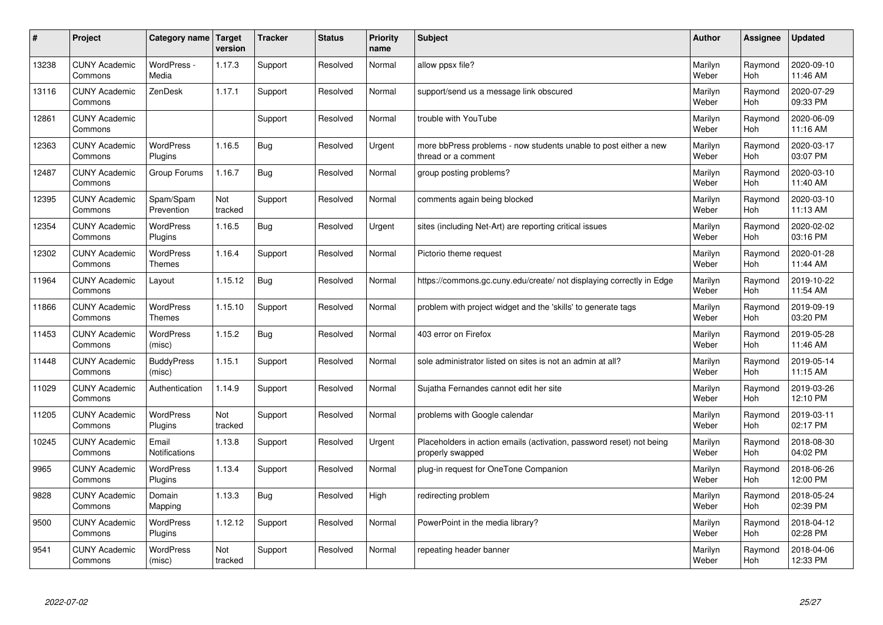| #     | Project                         | Category name               | Target<br>version | <b>Tracker</b> | <b>Status</b> | <b>Priority</b><br>name | <b>Subject</b>                                                                           | <b>Author</b>    | <b>Assignee</b> | <b>Updated</b>         |
|-------|---------------------------------|-----------------------------|-------------------|----------------|---------------|-------------------------|------------------------------------------------------------------------------------------|------------------|-----------------|------------------------|
| 13238 | <b>CUNY Academic</b><br>Commons | WordPress -<br>Media        | 1.17.3            | Support        | Resolved      | Normal                  | allow ppsx file?                                                                         | Marilyn<br>Weber | Raymond<br>Hoh  | 2020-09-10<br>11:46 AM |
| 13116 | <b>CUNY Academic</b><br>Commons | ZenDesk                     | 1.17.1            | Support        | Resolved      | Normal                  | support/send us a message link obscured                                                  | Marilyn<br>Weber | Raymond<br>Hoh  | 2020-07-29<br>09:33 PM |
| 12861 | <b>CUNY Academic</b><br>Commons |                             |                   | Support        | Resolved      | Normal                  | trouble with YouTube                                                                     | Marilyn<br>Weber | Raymond<br>Hoh  | 2020-06-09<br>11:16 AM |
| 12363 | <b>CUNY Academic</b><br>Commons | <b>WordPress</b><br>Plugins | 1.16.5            | <b>Bug</b>     | Resolved      | Urgent                  | more bbPress problems - now students unable to post either a new<br>thread or a comment  | Marilyn<br>Weber | Raymond<br>Hoh  | 2020-03-17<br>03:07 PM |
| 12487 | <b>CUNY Academic</b><br>Commons | Group Forums                | 1.16.7            | <b>Bug</b>     | Resolved      | Normal                  | group posting problems?                                                                  | Marilyn<br>Weber | Raymond<br>Hoh  | 2020-03-10<br>11:40 AM |
| 12395 | <b>CUNY Academic</b><br>Commons | Spam/Spam<br>Prevention     | Not<br>tracked    | Support        | Resolved      | Normal                  | comments again being blocked                                                             | Marilyn<br>Weber | Raymond<br>Hoh  | 2020-03-10<br>11:13 AM |
| 12354 | <b>CUNY Academic</b><br>Commons | <b>WordPress</b><br>Plugins | 1.16.5            | Bug            | Resolved      | Urgent                  | sites (including Net-Art) are reporting critical issues                                  | Marilyn<br>Weber | Raymond<br>Hoh  | 2020-02-02<br>03:16 PM |
| 12302 | <b>CUNY Academic</b><br>Commons | <b>WordPress</b><br>Themes  | 1.16.4            | Support        | Resolved      | Normal                  | Pictorio theme request                                                                   | Marilyn<br>Weber | Raymond<br>Hoh  | 2020-01-28<br>11:44 AM |
| 11964 | <b>CUNY Academic</b><br>Commons | Layout                      | 1.15.12           | <b>Bug</b>     | Resolved      | Normal                  | https://commons.gc.cuny.edu/create/ not displaying correctly in Edge                     | Marilyn<br>Weber | Raymond<br>Hoh  | 2019-10-22<br>11:54 AM |
| 11866 | <b>CUNY Academic</b><br>Commons | <b>WordPress</b><br>Themes  | 1.15.10           | Support        | Resolved      | Normal                  | problem with project widget and the 'skills' to generate tags                            | Marilyn<br>Weber | Raymond<br>Hoh  | 2019-09-19<br>03:20 PM |
| 11453 | <b>CUNY Academic</b><br>Commons | <b>WordPress</b><br>(misc)  | 1.15.2            | <b>Bug</b>     | Resolved      | Normal                  | 403 error on Firefox                                                                     | Marilyn<br>Weber | Raymond<br>Hoh  | 2019-05-28<br>11:46 AM |
| 11448 | <b>CUNY Academic</b><br>Commons | <b>BuddyPress</b><br>(misc) | 1.15.1            | Support        | Resolved      | Normal                  | sole administrator listed on sites is not an admin at all?                               | Marilyn<br>Weber | Raymond<br>Hoh  | 2019-05-14<br>11:15 AM |
| 11029 | <b>CUNY Academic</b><br>Commons | Authentication              | 1.14.9            | Support        | Resolved      | Normal                  | Sujatha Fernandes cannot edit her site                                                   | Marilyn<br>Weber | Raymond<br>Hoh  | 2019-03-26<br>12:10 PM |
| 11205 | <b>CUNY Academic</b><br>Commons | <b>WordPress</b><br>Plugins | Not<br>tracked    | Support        | Resolved      | Normal                  | problems with Google calendar                                                            | Marilyn<br>Weber | Raymond<br>Hoh  | 2019-03-11<br>02:17 PM |
| 10245 | <b>CUNY Academic</b><br>Commons | Email<br>Notifications      | 1.13.8            | Support        | Resolved      | Urgent                  | Placeholders in action emails (activation, password reset) not being<br>properly swapped | Marilyn<br>Weber | Raymond<br>Hoh  | 2018-08-30<br>04:02 PM |
| 9965  | <b>CUNY Academic</b><br>Commons | <b>WordPress</b><br>Plugins | 1.13.4            | Support        | Resolved      | Normal                  | plug-in request for OneTone Companion                                                    | Marilyn<br>Weber | Raymond<br>Hoh  | 2018-06-26<br>12:00 PM |
| 9828  | <b>CUNY Academic</b><br>Commons | Domain<br>Mapping           | 1.13.3            | <b>Bug</b>     | Resolved      | High                    | redirecting problem                                                                      | Marilyn<br>Weber | Raymond<br>Hoh  | 2018-05-24<br>02:39 PM |
| 9500  | <b>CUNY Academic</b><br>Commons | WordPress<br>Plugins        | 1.12.12           | Support        | Resolved      | Normal                  | PowerPoint in the media library?                                                         | Marilyn<br>Weber | Raymond<br>Hoh  | 2018-04-12<br>02:28 PM |
| 9541  | <b>CUNY Academic</b><br>Commons | WordPress<br>(misc)         | Not<br>tracked    | Support        | Resolved      | Normal                  | repeating header banner                                                                  | Marilyn<br>Weber | Raymond<br>Hoh  | 2018-04-06<br>12:33 PM |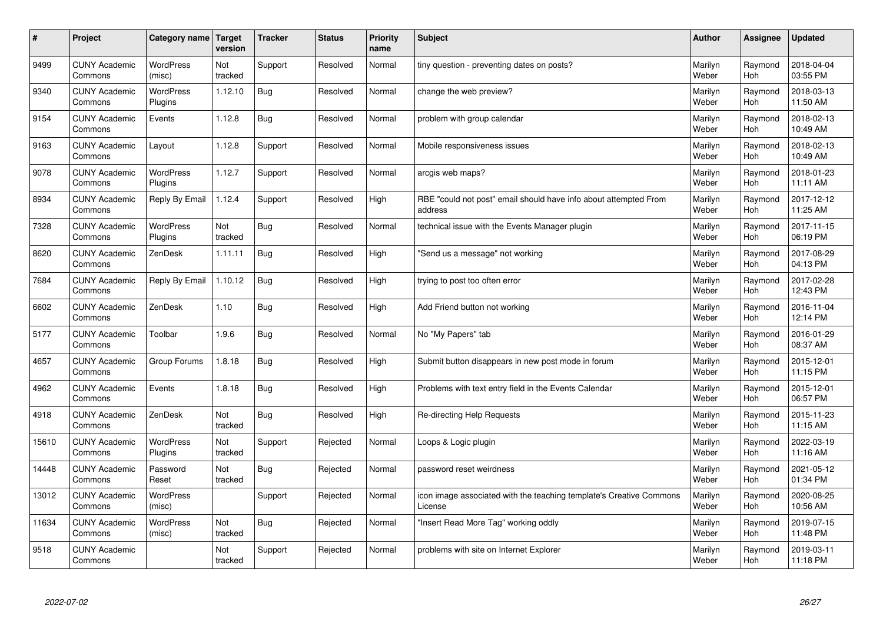| $\sharp$ | Project                         | <b>Category name</b>        | Target<br>version | <b>Tracker</b> | <b>Status</b> | <b>Priority</b><br>name | <b>Subject</b>                                                                 | <b>Author</b>    | Assignee       | <b>Updated</b>         |
|----------|---------------------------------|-----------------------------|-------------------|----------------|---------------|-------------------------|--------------------------------------------------------------------------------|------------------|----------------|------------------------|
| 9499     | <b>CUNY Academic</b><br>Commons | <b>WordPress</b><br>(misc)  | Not<br>tracked    | Support        | Resolved      | Normal                  | tiny question - preventing dates on posts?                                     | Marilyn<br>Weber | Raymond<br>Hoh | 2018-04-04<br>03:55 PM |
| 9340     | <b>CUNY Academic</b><br>Commons | <b>WordPress</b><br>Plugins | 1.12.10           | Bug            | Resolved      | Normal                  | change the web preview?                                                        | Marilyn<br>Weber | Raymond<br>Hoh | 2018-03-13<br>11:50 AM |
| 9154     | <b>CUNY Academic</b><br>Commons | Events                      | 1.12.8            | <b>Bug</b>     | Resolved      | Normal                  | problem with group calendar                                                    | Marilyn<br>Weber | Raymond<br>Hoh | 2018-02-13<br>10:49 AM |
| 9163     | <b>CUNY Academic</b><br>Commons | Layout                      | 1.12.8            | Support        | Resolved      | Normal                  | Mobile responsiveness issues                                                   | Marilyn<br>Weber | Raymond<br>Hoh | 2018-02-13<br>10:49 AM |
| 9078     | <b>CUNY Academic</b><br>Commons | WordPress<br>Plugins        | 1.12.7            | Support        | Resolved      | Normal                  | arcgis web maps?                                                               | Marilyn<br>Weber | Raymond<br>Hoh | 2018-01-23<br>11:11 AM |
| 8934     | <b>CUNY Academic</b><br>Commons | Reply By Email              | 1.12.4            | Support        | Resolved      | High                    | RBE "could not post" email should have info about attempted From<br>address    | Marilyn<br>Weber | Raymond<br>Hoh | 2017-12-12<br>11:25 AM |
| 7328     | <b>CUNY Academic</b><br>Commons | <b>WordPress</b><br>Plugins | Not<br>tracked    | <b>Bug</b>     | Resolved      | Normal                  | technical issue with the Events Manager plugin                                 | Marilyn<br>Weber | Raymond<br>Hoh | 2017-11-15<br>06:19 PM |
| 8620     | <b>CUNY Academic</b><br>Commons | ZenDesk                     | 1.11.11           | <b>Bug</b>     | Resolved      | High                    | 'Send us a message" not working                                                | Marilyn<br>Weber | Raymond<br>Hoh | 2017-08-29<br>04:13 PM |
| 7684     | <b>CUNY Academic</b><br>Commons | Reply By Email              | 1.10.12           | <b>Bug</b>     | Resolved      | High                    | trying to post too often error                                                 | Marilyn<br>Weber | Raymond<br>Hoh | 2017-02-28<br>12:43 PM |
| 6602     | <b>CUNY Academic</b><br>Commons | ZenDesk                     | 1.10              | Bug            | Resolved      | High                    | Add Friend button not working                                                  | Marilyn<br>Weber | Raymond<br>Hoh | 2016-11-04<br>12:14 PM |
| 5177     | <b>CUNY Academic</b><br>Commons | Toolbar                     | 1.9.6             | Bug            | Resolved      | Normal                  | No "My Papers" tab                                                             | Marilyn<br>Weber | Raymond<br>Hoh | 2016-01-29<br>08:37 AM |
| 4657     | <b>CUNY Academic</b><br>Commons | Group Forums                | 1.8.18            | <b>Bug</b>     | Resolved      | High                    | Submit button disappears in new post mode in forum                             | Marilyn<br>Weber | Raymond<br>Hoh | 2015-12-01<br>11:15 PM |
| 4962     | <b>CUNY Academic</b><br>Commons | Events                      | 1.8.18            | <b>Bug</b>     | Resolved      | High                    | Problems with text entry field in the Events Calendar                          | Marilyn<br>Weber | Raymond<br>Hoh | 2015-12-01<br>06:57 PM |
| 4918     | <b>CUNY Academic</b><br>Commons | ZenDesk                     | Not<br>tracked    | <b>Bug</b>     | Resolved      | High                    | Re-directing Help Requests                                                     | Marilyn<br>Weber | Raymond<br>Hoh | 2015-11-23<br>11:15 AM |
| 15610    | <b>CUNY Academic</b><br>Commons | WordPress<br>Plugins        | Not<br>tracked    | Support        | Rejected      | Normal                  | Loops & Logic plugin                                                           | Marilyn<br>Weber | Raymond<br>Hoh | 2022-03-19<br>11:16 AM |
| 14448    | <b>CUNY Academic</b><br>Commons | Password<br>Reset           | Not<br>tracked    | <b>Bug</b>     | Rejected      | Normal                  | password reset weirdness                                                       | Marilyn<br>Weber | Raymond<br>Hoh | 2021-05-12<br>01:34 PM |
| 13012    | <b>CUNY Academic</b><br>Commons | WordPress<br>(misc)         |                   | Support        | Rejected      | Normal                  | icon image associated with the teaching template's Creative Commons<br>License | Marilyn<br>Weber | Raymond<br>Hoh | 2020-08-25<br>10:56 AM |
| 11634    | <b>CUNY Academic</b><br>Commons | WordPress<br>(misc)         | Not<br>tracked    | <b>Bug</b>     | Rejected      | Normal                  | 'Insert Read More Tag" working oddly                                           | Marilyn<br>Weber | Raymond<br>Hoh | 2019-07-15<br>11:48 PM |
| 9518     | <b>CUNY Academic</b><br>Commons |                             | Not<br>tracked    | Support        | Rejected      | Normal                  | problems with site on Internet Explorer                                        | Marilyn<br>Weber | Raymond<br>Hoh | 2019-03-11<br>11:18 PM |